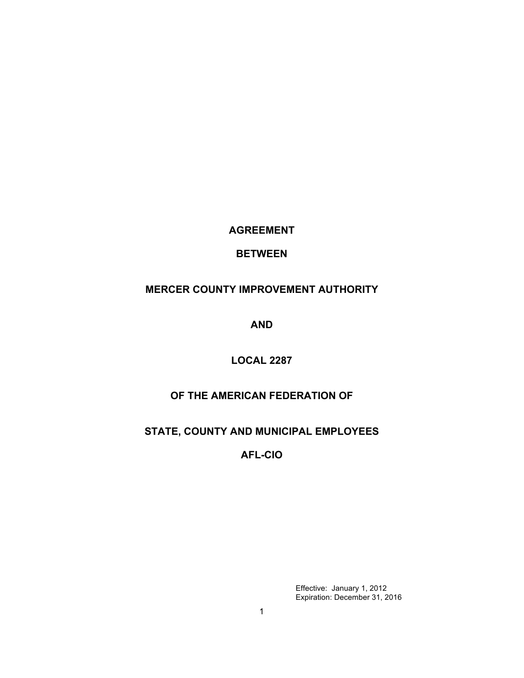**AGREEMENT** 

# **BETWEEN**

# **MERCER COUNTY IMPROVEMENT AUTHORITY**

**AND**

# **LOCAL 2287**

# **OF THE AMERICAN FEDERATION OF**

# **STATE, COUNTY AND MUNICIPAL EMPLOYEES**

# **AFL-CIO**

Effective: January 1, 2012 Expiration: December 31, 2016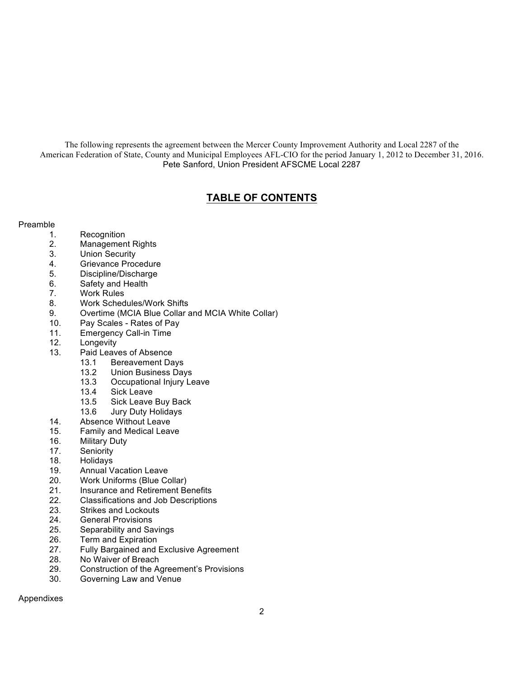The following represents the agreement between the Mercer County Improvement Authority and Local 2287 of the American Federation of State, County and Municipal Employees AFL-CIO for the period January 1, 2012 to December 31, 2016. Pete Sanford, Union President AFSCME Local 2287

# **TABLE OF CONTENTS**

## Preamble

- 1. Recognition
- 2. Management Rights
- 3. Union Security
- 4. Grievance Procedure
- 5. Discipline/Discharge
- 6. Safety and Health
- 7. Work Rules
- 8. Work Schedules/Work Shifts
- 9. Overtime (MCIA Blue Collar and MCIA White Collar)
- 10. Pay Scales Rates of Pay
- 11. Emergency Call-in Time
- 12. Longevity
- 13. Paid Leaves of Absence
	- 13.1 Bereavement Days
	- 13.2 Union Business Days
	- 13.3 Occupational Injury Leave
	- 13.4 Sick Leave<br>13.5 Sick Leave
	- Sick Leave Buy Back
	- 13.6 Jury Duty Holidays
- 14. Absence Without Leave
- 15. Family and Medical Leave
- 16. Military Duty
- 17. Seniority
- 18. Holidays
- 19. Annual Vacation Leave
- 20. Work Uniforms (Blue Collar)
- 21. Insurance and Retirement Benefits
- 22. Classifications and Job Descriptions<br>23. Strikes and Lockouts
- Strikes and Lockouts
- 24. General Provisions
- 25. Separability and Savings
- 26. Term and Expiration
- 27. Fully Bargained and Exclusive Agreement
- 28. No Waiver of Breach
- 29. Construction of the Agreement's Provisions
- 30. Governing Law and Venue

Appendixes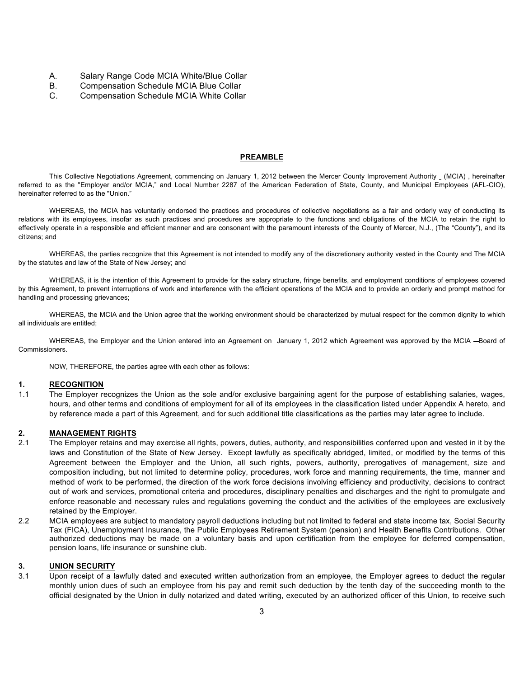- A. Salary Range Code MCIA White/Blue Collar<br>B. Compensation Schedule MCIA Blue Collar
- Compensation Schedule MCIA Blue Collar
- C. Compensation Schedule MCIA White Collar

#### **PREAMBLE**

This Collective Negotiations Agreement, commencing on January 1, 2012 between the Mercer County Improvement Authority (MCIA) , hereinafter referred to as the "Employer and/or MCIA," and Local Number 2287 of the American Federation of State, County, and Municipal Employees (AFL-CIO), hereinafter referred to as the "Union."

WHEREAS, the MCIA has voluntarily endorsed the practices and procedures of collective negotiations as a fair and orderly way of conducting its relations with its employees, insofar as such practices and procedures are appropriate to the functions and obligations of the MCIA to retain the right to effectively operate in a responsible and efficient manner and are consonant with the paramount interests of the County of Mercer, N.J., (The "County"), and its citizens; and

WHEREAS, the parties recognize that this Agreement is not intended to modify any of the discretionary authority vested in the County and The MCIA by the statutes and law of the State of New Jersey; and

WHEREAS, it is the intention of this Agreement to provide for the salary structure, fringe benefits, and employment conditions of employees covered by this Agreement, to prevent interruptions of work and interference with the efficient operations of the MCIA and to provide an orderly and prompt method for handling and processing grievances;

WHEREAS, the MCIA and the Union agree that the working environment should be characterized by mutual respect for the common dignity to which all individuals are entitled;

WHEREAS, the Employer and the Union entered into an Agreement on January 1, 2012 which Agreement was approved by the MCIA -- Board of Commissioners.

NOW, THEREFORE, the parties agree with each other as follows:

#### **1. RECOGNITION**

1.1 The Employer recognizes the Union as the sole and/or exclusive bargaining agent for the purpose of establishing salaries, wages, hours, and other terms and conditions of employment for all of its employees in the classification listed under Appendix A hereto, and by reference made a part of this Agreement, and for such additional title classifications as the parties may later agree to include.

#### **2. MANAGEMENT RIGHTS**

- 2.1 The Employer retains and may exercise all rights, powers, duties, authority, and responsibilities conferred upon and vested in it by the laws and Constitution of the State of New Jersey. Except lawfully as specifically abridged, limited, or modified by the terms of this Agreement between the Employer and the Union, all such rights, powers, authority, prerogatives of management, size and composition including, but not limited to determine policy, procedures, work force and manning requirements, the time, manner and method of work to be performed, the direction of the work force decisions involving efficiency and productivity, decisions to contract out of work and services, promotional criteria and procedures, disciplinary penalties and discharges and the right to promulgate and enforce reasonable and necessary rules and regulations governing the conduct and the activities of the employees are exclusively retained by the Employer.
- 2.2 MCIA employees are subject to mandatory payroll deductions including but not limited to federal and state income tax, Social Security Tax (FICA), Unemployment Insurance, the Public Employees Retirement System (pension) and Health Benefits Contributions. Other authorized deductions may be made on a voluntary basis and upon certification from the employee for deferred compensation, pension loans, life insurance or sunshine club.

### **3. UNION SECURITY**

3.1 Upon receipt of a lawfully dated and executed written authorization from an employee, the Employer agrees to deduct the regular monthly union dues of such an employee from his pay and remit such deduction by the tenth day of the succeeding month to the official designated by the Union in dully notarized and dated writing, executed by an authorized officer of this Union, to receive such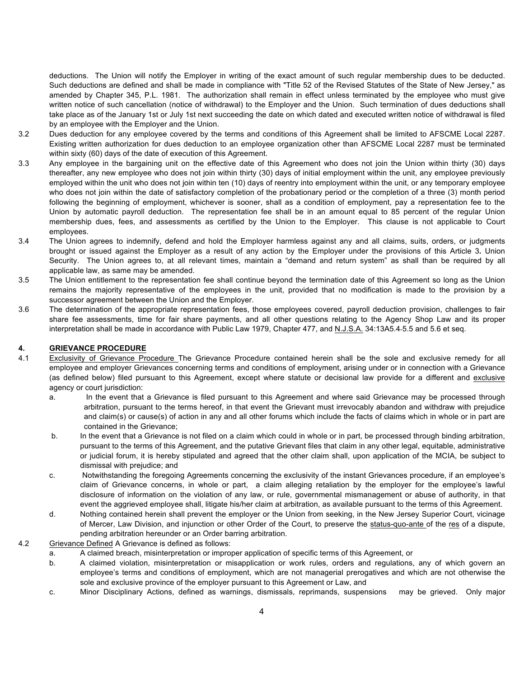deductions. The Union will notify the Employer in writing of the exact amount of such regular membership dues to be deducted. Such deductions are defined and shall be made in compliance with "Title 52 of the Revised Statutes of the State of New Jersey," as amended by Chapter 345, P.L. 1981. The authorization shall remain in effect unless terminated by the employee who must give written notice of such cancellation (notice of withdrawal) to the Employer and the Union. Such termination of dues deductions shall take place as of the January 1st or July 1st next succeeding the date on which dated and executed written notice of withdrawal is filed by an employee with the Employer and the Union.

- 3.2 Dues deduction for any employee covered by the terms and conditions of this Agreement shall be limited to AFSCME Local 2287. Existing written authorization for dues deduction to an employee organization other than AFSCME Local 2287 must be terminated within sixty (60) days of the date of execution of this Agreement.
- 3.3 Any employee in the bargaining unit on the effective date of this Agreement who does not join the Union within thirty (30) days thereafter, any new employee who does not join within thirty (30) days of initial employment within the unit, any employee previously employed within the unit who does not join within ten (10) days of reentry into employment within the unit, or any temporary employee who does not join within the date of satisfactory completion of the probationary period or the completion of a three (3) month period following the beginning of employment, whichever is sooner, shall as a condition of employment, pay a representation fee to the Union by automatic payroll deduction. The representation fee shall be in an amount equal to 85 percent of the regular Union membership dues, fees, and assessments as certified by the Union to the Employer. This clause is not applicable to Court employees.
- 3.4 The Union agrees to indemnify, defend and hold the Employer harmless against any and all claims, suits, orders, or judgments brought or issued against the Employer as a result of any action by the Employer under the provisions of this Article 3**.** Union Security. The Union agrees to, at all relevant times, maintain a "demand and return system" as shall than be required by all applicable law, as same may be amended.
- 3.5 The Union entitlement to the representation fee shall continue beyond the termination date of this Agreement so long as the Union remains the majority representative of the employees in the unit, provided that no modification is made to the provision by a successor agreement between the Union and the Employer.
- 3.6 The determination of the appropriate representation fees, those employees covered, payroll deduction provision, challenges to fair share fee assessments, time for fair share payments, and all other questions relating to the Agency Shop Law and its proper interpretation shall be made in accordance with Public Law 1979, Chapter 477, and N.J.S.A. 34:13A5.4 5.5 and 5.6 et seq.

### **4. GRIEVANCE PROCEDURE**

- 4.1 Exclusivity of Grievance Procedure The Grievance Procedure contained herein shall be the sole and exclusive remedy for all employee and employer Grievances concerning terms and conditions of employment, arising under or in connection with a Grievance (as defined below) filed pursuant to this Agreement, except where statute or decisional law provide for a different and exclusive agency or court jurisdiction:
	- a. In the event that a Grievance is filed pursuant to this Agreement and where said Grievance may be processed through arbitration, pursuant to the terms hereof, in that event the Grievant must irrevocably abandon and withdraw with prejudice and claim(s) or cause(s) of action in any and all other forums which include the facts of claims which in whole or in part are contained in the Grievance;
	- b. In the event that a Grievance is not filed on a claim which could in whole or in part, be processed through binding arbitration, pursuant to the terms of this Agreement, and the putative Grievant files that claim in any other legal, equitable, administrative or judicial forum, it is hereby stipulated and agreed that the other claim shall, upon application of the MCIA, be subject to dismissal with prejudice; and
	- c. Notwithstanding the foregoing Agreements concerning the exclusivity of the instant Grievances procedure, if an employee's claim of Grievance concerns, in whole or part, a claim alleging retaliation by the employer for the employee's lawful disclosure of information on the violation of any law, or rule, governmental mismanagement or abuse of authority, in that event the aggrieved employee shall, litigate his/her claim at arbitration, as available pursuant to the terms of this Agreement.
	- d. Nothing contained herein shall prevent the employer or the Union from seeking, in the New Jersey Superior Court, vicinage of Mercer, Law Division, and injunction or other Order of the Court, to preserve the status-quo-ante of the res of a dispute, pending arbitration hereunder or an Order barring arbitration.
- 4.2 Grievance Defined A Grievance is defined as follows:
	- a. A claimed breach, misinterpretation or improper application of specific terms of this Agreement, or
	- b. A claimed violation, misinterpretation or misapplication or work rules, orders and regulations, any of which govern an employee's terms and conditions of employment, which are not managerial prerogatives and which are not otherwise the sole and exclusive province of the employer pursuant to this Agreement or Law, and
	- c. Minor Disciplinary Actions, defined as warnings, dismissals, reprimands, suspensions may be grieved. Only major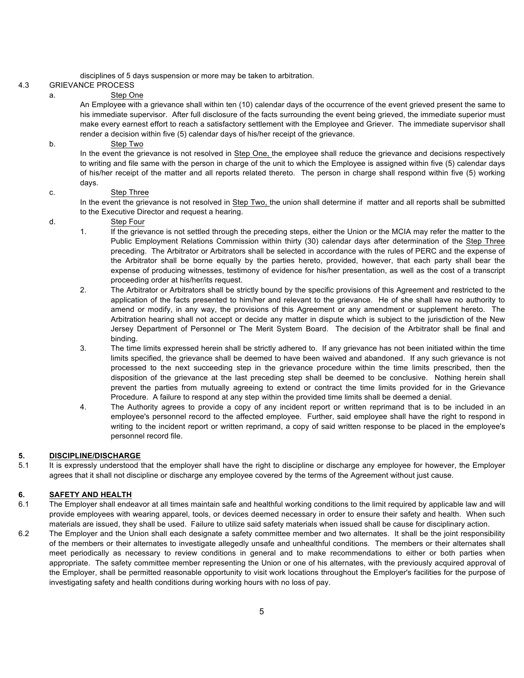disciplines of 5 days suspension or more may be taken to arbitration.

## 4.3 GRIEVANCE PROCESS

#### a. Step One

An Employee with a grievance shall within ten (10) calendar days of the occurrence of the event grieved present the same to his immediate supervisor. After full disclosure of the facts surrounding the event being grieved, the immediate superior must make every earnest effort to reach a satisfactory settlement with the Employee and Griever. The immediate supervisor shall render a decision within five (5) calendar days of his/her receipt of the grievance.

#### b. Step Two

In the event the grievance is not resolved in Step One, the employee shall reduce the grievance and decisions respectively to writing and file same with the person in charge of the unit to which the Employee is assigned within five (5) calendar days of his/her receipt of the matter and all reports related thereto. The person in charge shall respond within five (5) working days.

#### c. Step Three

In the event the grievance is not resolved in Step Two, the union shall determine if matter and all reports shall be submitted to the Executive Director and request a hearing.

#### d. Step Four

- 1. If the grievance is not settled through the preceding steps, either the Union or the MCIA may refer the matter to the Public Employment Relations Commission within thirty (30) calendar days after determination of the Step Three preceding. The Arbitrator or Arbitrators shall be selected in accordance with the rules of PERC and the expense of the Arbitrator shall be borne equally by the parties hereto, provided, however, that each party shall bear the expense of producing witnesses, testimony of evidence for his/her presentation, as well as the cost of a transcript proceeding order at his/her/its request.
- 2. The Arbitrator or Arbitrators shall be strictly bound by the specific provisions of this Agreement and restricted to the application of the facts presented to him/her and relevant to the grievance. He of she shall have no authority to amend or modify, in any way, the provisions of this Agreement or any amendment or supplement hereto. The Arbitration hearing shall not accept or decide any matter in dispute which is subject to the jurisdiction of the New Jersey Department of Personnel or The Merit System Board. The decision of the Arbitrator shall be final and binding.
- 3. The time limits expressed herein shall be strictly adhered to. If any grievance has not been initiated within the time limits specified, the grievance shall be deemed to have been waived and abandoned. If any such grievance is not processed to the next succeeding step in the grievance procedure within the time limits prescribed, then the disposition of the grievance at the last preceding step shall be deemed to be conclusive. Nothing herein shall prevent the parties from mutually agreeing to extend or contract the time limits provided for in the Grievance Procedure. A failure to respond at any step within the provided time limits shall be deemed a denial.
- 4. The Authority agrees to provide a copy of any incident report or written reprimand that is to be included in an employee's personnel record to the affected employee. Further, said employee shall have the right to respond in writing to the incident report or written reprimand, a copy of said written response to be placed in the employee's personnel record file.

#### **5. DISCIPLINE/DISCHARGE**

5.1 It is expressly understood that the employer shall have the right to discipline or discharge any employee for however, the Employer agrees that it shall not discipline or discharge any employee covered by the terms of the Agreement without just cause.

#### **6. SAFETY AND HEALTH**

- 6.1 The Employer shall endeavor at all times maintain safe and healthful working conditions to the limit required by applicable law and will provide employees with wearing apparel, tools, or devices deemed necessary in order to ensure their safety and health. When such materials are issued, they shall be used. Failure to utilize said safety materials when issued shall be cause for disciplinary action.
- 6.2 The Employer and the Union shall each designate a safety committee member and two alternates. It shall be the joint responsibility of the members or their alternates to investigate allegedly unsafe and unhealthful conditions. The members or their alternates shall meet periodically as necessary to review conditions in general and to make recommendations to either or both parties when appropriate. The safety committee member representing the Union or one of his alternates, with the previously acquired approval of the Employer, shall be permitted reasonable opportunity to visit work locations throughout the Employer's facilities for the purpose of investigating safety and health conditions during working hours with no loss of pay.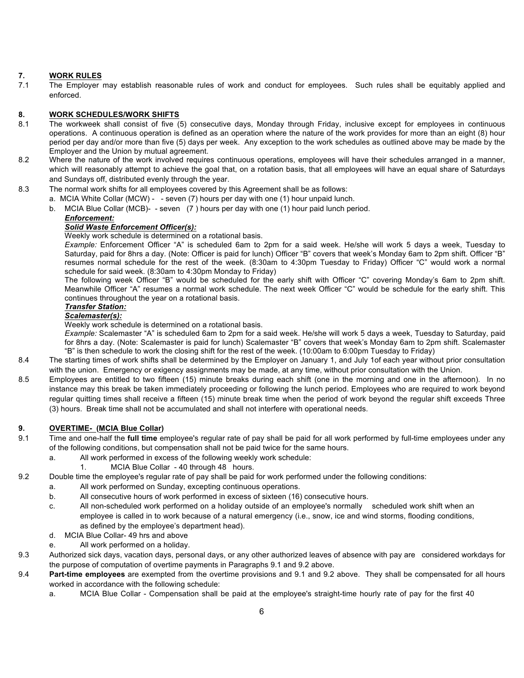## **7. WORK RULES**

7.1 The Employer may establish reasonable rules of work and conduct for employees. Such rules shall be equitably applied and enforced.

## **8. WORK SCHEDULES/WORK SHIFTS**

- 8.1 The workweek shall consist of five (5) consecutive days, Monday through Friday, inclusive except for employees in continuous operations. A continuous operation is defined as an operation where the nature of the work provides for more than an eight (8) hour period per day and/or more than five (5) days per week. Any exception to the work schedules as outlined above may be made by the Employer and the Union by mutual agreement.
- 8.2 Where the nature of the work involved requires continuous operations, employees will have their schedules arranged in a manner, which will reasonably attempt to achieve the goal that, on a rotation basis, that all employees will have an equal share of Saturdays and Sundays off, distributed evenly through the year.
- 8.3 The normal work shifts for all employees covered by this Agreement shall be as follows:
	- a. MCIA White Collar (MCW) - seven (7) hours per day with one (1) hour unpaid lunch.
	- b. MCIA Blue Collar (MCB)- seven (7 ) hours per day with one (1) hour paid lunch period.

#### *Enforcement: Solid Waste Enforcement Officer(s):*

Weekly work schedule is determined on a rotational basis.

*Example:* Enforcement Officer "A" is scheduled 6am to 2pm for a said week. He/she will work 5 days a week, Tuesday to Saturday, paid for 8hrs a day. (Note: Officer is paid for lunch) Officer "B" covers that week's Monday 6am to 2pm shift. Officer "B" resumes normal schedule for the rest of the week. (8:30am to 4:30pm Tuesday to Friday) Officer "C" would work a normal schedule for said week. (8:30am to 4:30pm Monday to Friday)

The following week Officer "B" would be scheduled for the early shift with Officer "C" covering Monday's 6am to 2pm shift. Meanwhile Officer "A" resumes a normal work schedule. The next week Officer "C" would be schedule for the early shift. This continues throughout the year on a rotational basis.

### *Transfer Station:*

### *Scalemaster(s):*

Weekly work schedule is determined on a rotational basis.

*Example:* Scalemaster "A" is scheduled 6am to 2pm for a said week. He/she will work 5 days a week, Tuesday to Saturday, paid for 8hrs a day. (Note: Scalemaster is paid for lunch) Scalemaster "B" covers that week's Monday 6am to 2pm shift. Scalemaster "B" is then schedule to work the closing shift for the rest of the week. (10:00am to 6:00pm Tuesday to Friday)

- 8.4 The starting times of work shifts shall be determined by the Employer on January 1, and July 1of each year without prior consultation with the union. Emergency or exigency assignments may be made, at any time, without prior consultation with the Union.
- 8.5 Employees are entitled to two fifteen (15) minute breaks during each shift (one in the morning and one in the afternoon). In no instance may this break be taken immediately proceeding or following the lunch period. Employees who are required to work beyond regular quitting times shall receive a fifteen (15) minute break time when the period of work beyond the regular shift exceeds Three (3) hours. Break time shall not be accumulated and shall not interfere with operational needs.

## **9. OVERTIME- (MCIA Blue Collar)**

- 9.1 Time and one-half the **full time** employee's regular rate of pay shall be paid for all work performed by full-time employees under any of the following conditions, but compensation shall not be paid twice for the same hours.
	- a. All work performed in excess of the following weekly work schedule:
		- 1. MCIA Blue Collar 40 through 48 hours.
- 9.2 Double time the employee's regular rate of pay shall be paid for work performed under the following conditions:
	- a. All work performed on Sunday, excepting continuous operations.
		- b. All consecutive hours of work performed in excess of sixteen (16) consecutive hours.
		- c. All non-scheduled work performed on a holiday outside of an employee's normally scheduled work shift when an employee is called in to work because of a natural emergency (i.e., snow, ice and wind storms, flooding conditions, as defined by the employee's department head).
		- d. MCIA Blue Collar- 49 hrs and above
		- e. All work performed on a holiday.
- 9.3 Authorized sick days, vacation days, personal days, or any other authorized leaves of absence with pay are considered workdays for the purpose of computation of overtime payments in Paragraphs 9.1 and 9.2 above.
- 9.4 **Part-time employees** are exempted from the overtime provisions and 9.1 and 9.2 above. They shall be compensated for all hours worked in accordance with the following schedule:
	- a. MCIA Blue Collar Compensation shall be paid at the employee's straight-time hourly rate of pay for the first 40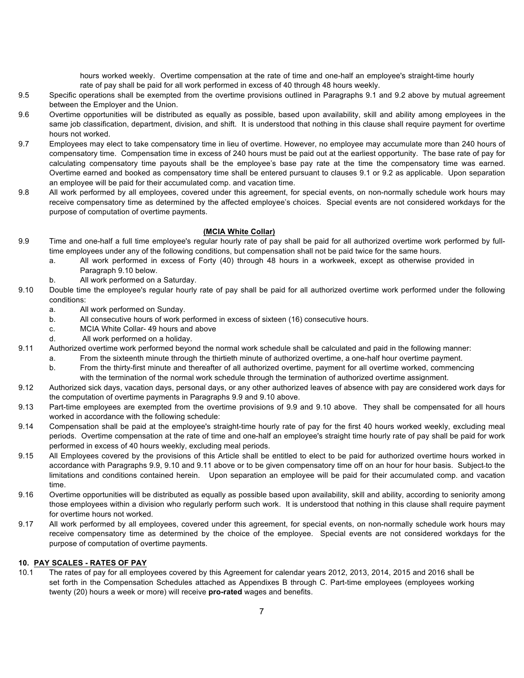hours worked weekly. Overtime compensation at the rate of time and one-half an employee's straight-time hourly rate of pay shall be paid for all work performed in excess of 40 through 48 hours weekly.

- 9.5 Specific operations shall be exempted from the overtime provisions outlined in Paragraphs 9.1 and 9.2 above by mutual agreement between the Employer and the Union.
- 9.6 Overtime opportunities will be distributed as equally as possible, based upon availability, skill and ability among employees in the same job classification, department, division, and shift. It is understood that nothing in this clause shall require payment for overtime hours not worked.
- 9.7 Employees may elect to take compensatory time in lieu of overtime. However, no employee may accumulate more than 240 hours of compensatory time. Compensation time in excess of 240 hours must be paid out at the earliest opportunity. The base rate of pay for calculating compensatory time payouts shall be the employee's base pay rate at the time the compensatory time was earned. Overtime earned and booked as compensatory time shall be entered pursuant to clauses 9.1 or 9.2 as applicable. Upon separation an employee will be paid for their accumulated comp. and vacation time.
- 9.8 All work performed by all employees, covered under this agreement, for special events, on non-normally schedule work hours may receive compensatory time as determined by the affected employee's choices. Special events are not considered workdays for the purpose of computation of overtime payments.

### **(MCIA White Collar)**

- 9.9 Time and one-half a full time employee's regular hourly rate of pay shall be paid for all authorized overtime work performed by fulltime employees under any of the following conditions, but compensation shall not be paid twice for the same hours.
	- a. All work performed in excess of Forty (40) through 48 hours in a workweek, except as otherwise provided in Paragraph 9.10 below.
	- b. All work performed on a Saturday.
- 9.10 Double time the employee's regular hourly rate of pay shall be paid for all authorized overtime work performed under the following conditions:
	- a. All work performed on Sunday.
	- b. All consecutive hours of work performed in excess of sixteen (16) consecutive hours.
	- c. MCIA White Collar- 49 hours and above
	- d. All work performed on a holiday.
- 9.11 Authorized overtime work performed beyond the normal work schedule shall be calculated and paid in the following manner:
	- a. From the sixteenth minute through the thirtieth minute of authorized overtime, a one-half hour overtime payment.
	- b. From the thirty-first minute and thereafter of all authorized overtime, payment for all overtime worked, commencing with the termination of the normal work schedule through the termination of authorized overtime assignment.
- 9.12 Authorized sick days, vacation days, personal days, or any other authorized leaves of absence with pay are considered work days for the computation of overtime payments in Paragraphs 9.9 and 9.10 above.
- 9.13 Part-time employees are exempted from the overtime provisions of 9.9 and 9.10 above. They shall be compensated for all hours worked in accordance with the following schedule:
- 9.14 Compensation shall be paid at the employee's straight-time hourly rate of pay for the first 40 hours worked weekly, excluding meal periods. Overtime compensation at the rate of time and one-half an employee's straight time hourly rate of pay shall be paid for work performed in excess of 40 hours weekly, excluding meal periods.
- 9.15 All Employees covered by the provisions of this Article shall be entitled to elect to be paid for authorized overtime hours worked in accordance with Paragraphs 9.9, 9.10 and 9.11 above or to be given compensatory time off on an hour for hour basis. Subject to the limitations and conditions contained herein. Upon separation an employee will be paid for their accumulated comp. and vacation time.
- 9.16 Overtime opportunities will be distributed as equally as possible based upon availability, skill and ability, according to seniority among those employees within a division who regularly perform such work. It is understood that nothing in this clause shall require payment for overtime hours not worked.
- 9.17 All work performed by all employees, covered under this agreement, for special events, on non-normally schedule work hours may receive compensatory time as determined by the choice of the employee. Special events are not considered workdays for the purpose of computation of overtime payments.

### **10. PAY SCALES - RATES OF PAY**

10.1 The rates of pay for all employees covered by this Agreement for calendar years 2012, 2013, 2014, 2015 and 2016 shall be set forth in the Compensation Schedules attached as Appendixes B through C. Part-time employees (employees working twenty (20) hours a week or more) will receive **pro-rated** wages and benefits.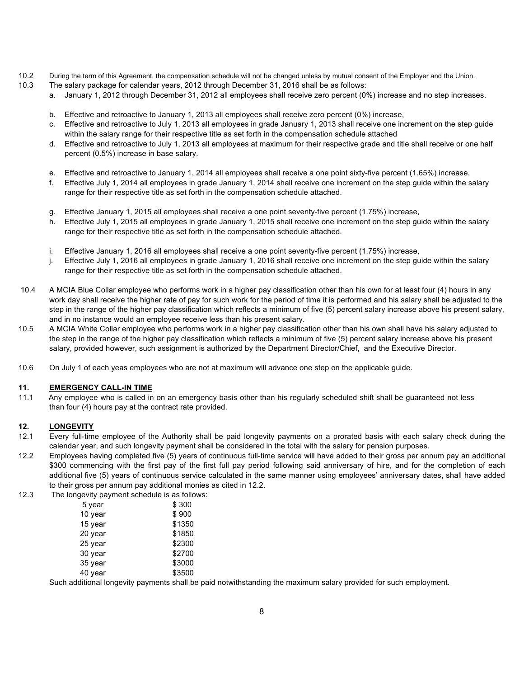- 10.2 During the term of this Agreement, the compensation schedule will not be changed unless by mutual consent of the Employer and the Union.
- 10.3 The salary package for calendar years, 2012 through December 31, 2016 shall be as follows:
	- a. January 1, 2012 through December 31, 2012 all employees shall receive zero percent (0%) increase and no step increases.
		- b. Effective and retroactive to January 1, 2013 all employees shall receive zero percent (0%) increase,
		- c. Effective and retroactive to July 1, 2013 all employees in grade January 1, 2013 shall receive one increment on the step guide within the salary range for their respective title as set forth in the compensation schedule attached
		- d. Effective and retroactive to July 1, 2013 all employees at maximum for their respective grade and title shall receive or one half percent (0.5%) increase in base salary.
		- e. Effective and retroactive to January 1, 2014 all employees shall receive a one point sixty-five percent (1.65%) increase,
		- f. Effective July 1, 2014 all employees in grade January 1, 2014 shall receive one increment on the step guide within the salary range for their respective title as set forth in the compensation schedule attached.
		- g. Effective January 1, 2015 all employees shall receive a one point seventy-five percent (1.75%) increase,
		- h. Effective July 1, 2015 all employees in grade January 1, 2015 shall receive one increment on the step guide within the salary range for their respective title as set forth in the compensation schedule attached.
		- i. Effective January 1, 2016 all employees shall receive a one point seventy-five percent (1.75%) increase,
		- j. Effective July 1, 2016 all employees in grade January 1, 2016 shall receive one increment on the step guide within the salary range for their respective title as set forth in the compensation schedule attached.
- 10.4 A MCIA Blue Collar employee who performs work in a higher pay classification other than his own for at least four (4) hours in any work day shall receive the higher rate of pay for such work for the period of time it is performed and his salary shall be adjusted to the step in the range of the higher pay classification which reflects a minimum of five (5) percent salary increase above his present salary, and in no instance would an employee receive less than his present salary.
- 10.5 A MCIA White Collar employee who performs work in a higher pay classification other than his own shall have his salary adjusted to the step in the range of the higher pay classification which reflects a minimum of five (5) percent salary increase above his present salary, provided however, such assignment is authorized by the Department Director/Chief, and the Executive Director.
- 10.6 On July 1 of each yeas employees who are not at maximum will advance one step on the applicable guide.

### **11. EMERGENCY CALL-IN TIME**

11.1 Any employee who is called in on an emergency basis other than his regularly scheduled shift shall be guaranteed not less than four (4) hours pay at the contract rate provided.

### **12. LONGEVITY**

- 12.1 Every full-time employee of the Authority shall be paid longevity payments on a prorated basis with each salary check during the calendar year, and such longevity payment shall be considered in the total with the salary for pension purposes.
- 12.2 Employees having completed five (5) years of continuous full-time service will have added to their gross per annum pay an additional \$300 commencing with the first pay of the first full pay period following said anniversary of hire, and for the completion of each additional five (5) years of continuous service calculated in the same manner using employees' anniversary dates, shall have added to their gross per annum pay additional monies as cited in 12.2.
- 12.3 The longevity payment schedule is as follows:

| 5 year  | \$300  |
|---------|--------|
| 10 year | \$900  |
| 15 year | \$1350 |
| 20 year | \$1850 |
| 25 year | \$2300 |
| 30 year | \$2700 |
| 35 year | \$3000 |
| 40 year | \$3500 |

Such additional longevity payments shall be paid notwithstanding the maximum salary provided for such employment.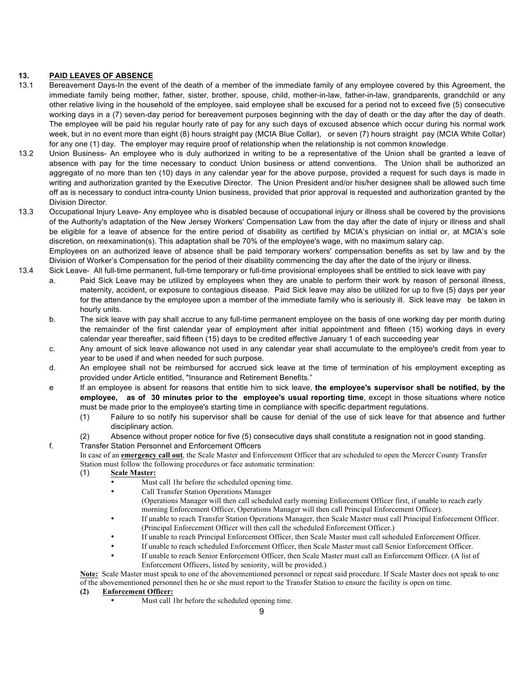## **13. PAID LEAVES OF ABSENCE**

- 13.1 Bereavement Days-In the event of the death of a member of the immediate family of any employee covered by this Agreement, the immediate family being mother, father, sister, brother, spouse, child, mother-in-law, father-in-law, grandparents, grandchild or any other relative living in the household of the employee, said employee shall be excused for a period not to exceed five (5) consecutive working days in a (7) seven-day period for bereavement purposes beginning with the day of death or the day after the day of death. The employee will be paid his regular hourly rate of pay for any such days of excused absence which occur during his normal work week, but in no event more than eight (8) hours straight pay (MCIA Blue Collar), or seven (7) hours straight pay (MCIA White Collar) for any one (1) day. The employer may require proof of relationship when the relationship is not common knowledge.
- 13.2 Union Business- An employee who is duly authorized in writing to be a representative of the Union shall be granted a leave of absence with pay for the time necessary to conduct Union business or attend conventions. The Union shall be authorized an aggregate of no more than ten (10) days in any calendar year for the above purpose, provided a request for such days is made in writing and authorization granted by the Executive Director. The Union President and/or his/her designee shall be allowed such time off as is necessary to conduct intra-county Union business, provided that prior approval is requested and authorization granted by the Division Director.

13.3 Occupational Injury Leave- Any employee who is disabled because of occupational injury or illness shall be covered by the provisions of the Authority's adaptation of the New Jersey Workers' Compensation Law from the day after the date of injury or illness and shall be eligible for a leave of absence for the entire period of disability as certified by MCIA's physician on initial or, at MCIA's sole discretion, on reexamination(s). This adaptation shall be 70% of the employee's wage, with no maximum salary cap. Employees on an authorized leave of absence shall be paid temporary workers' compensation benefits as set by law and by the

- Division of Worker's Compensation for the period of their disability commencing the day after the date of the injury or illness. 13.4Sick Leave- All full-time permanent, full-time temporary or full-time provisional employees shall be entitled to sick leave with pay
	- a. Paid Sick Leave may be utilized by employees when they are unable to perform their work by reason of personal illness, maternity, accident, or exposure to contagious disease. Paid Sick leave may also be utilized for up to five (5) days per year for the attendance by the employee upon a member of the immediate family who is seriously ill. Sick leave may be taken in hourly units.
	- b. The sick leave with pay shall accrue to any full-time permanent employee on the basis of one working day per month during the remainder of the first calendar year of employment after initial appointment and fifteen (15) working days in every calendar year thereafter, said fifteen (15) days to be credited effective January 1 of each succeeding year
	- c. Any amount of sick leave allowance not used in any calendar year shall accumulate to the employee's credit from year to year to be used if and when needed for such purpose.
	- d. An employee shall not be reimbursed for accrued sick leave at the time of termination of his employment excepting as provided under Article entitled, "Insurance and Retirement Benefits."
	- e If an employee is absent for reasons that entitle him to sick leave, **the employee's supervisor shall be notified, by the employee, as of 30 minutes prior to the employee's usual reporting time**, except in those situations where notice must be made prior to the employee's starting time in compliance with specific department regulations.
		- (1) Failure to so notify his supervisor shall be cause for denial of the use of sick leave for that absence and further disciplinary action.
		- (2) Absence without proper notice for five (5) consecutive days shall constitute a resignation not in good standing.

## f. Transfer Station Personnel and Enforcement Officers

In case of an **emergency call out**, the Scale Master and Enforcement Officer that are scheduled to open the Mercer County Transfer Station must follow the following procedures or face automatic termination:

- (1) **Scale Master:** 
	- Must call 1hr before the scheduled opening time.
	- Call Transfer Station Operations Manager
		- (Operations Manager will then call scheduled early morning Enforcement Officer first, if unable to reach early morning Enforcement Officer, Operations Manager will then call Principal Enforcement Officer).
	- If unable to reach Transfer Station Operations Manager, then Scale Master must call Principal Enforcement Officer. (Principal Enforcement Officer will then call the scheduled Enforcement Officer.)
	- If unable to reach Principal Enforcement Officer, then Scale Master must call scheduled Enforcement Officer.
	- If unable to reach scheduled Enforcement Officer, then Scale Master must call Senior Enforcement Officer.
	- If unable to reach Senior Enforcement Officer, then Scale Master must call an Enforcement Officer. (A list of Enforcement Officers, listed by seniority, will be provided.)

**Note:** Scale Master must speak to one of the abovementioned personnel or repeat said procedure. If Scale Master does not speak to one of the abovementioned personnel then he or she must report to the Transfer Station to ensure the facility is open on time.

## **(2) Enforcement Officer:**

Must call 1hr before the scheduled opening time.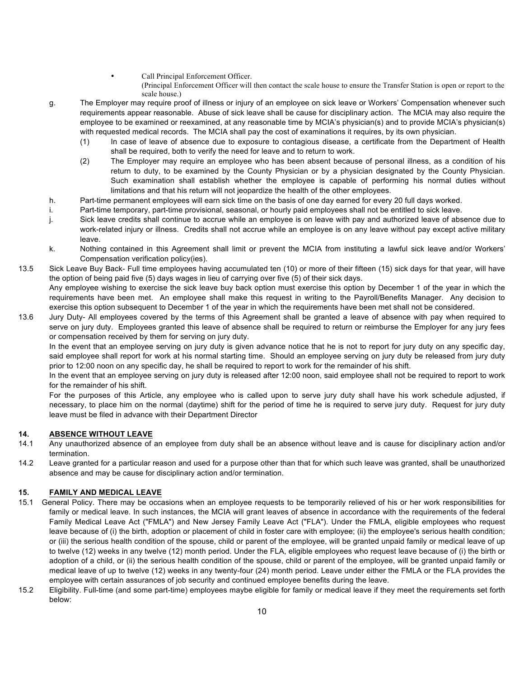Call Principal Enforcement Officer.

(Principal Enforcement Officer will then contact the scale house to ensure the Transfer Station is open or report to the scale house.)

- g. The Employer may require proof of illness or injury of an employee on sick leave or Workers' Compensation whenever such requirements appear reasonable. Abuse of sick leave shall be cause for disciplinary action. The MCIA may also require the employee to be examined or reexamined, at any reasonable time by MCIA's physician(s) and to provide MCIA's physician(s) with requested medical records. The MCIA shall pay the cost of examinations it requires, by its own physician.
	- (1) In case of leave of absence due to exposure to contagious disease, a certificate from the Department of Health shall be required, both to verify the need for leave and to return to work.
	- (2) The Employer may require an employee who has been absent because of personal illness, as a condition of his return to duty, to be examined by the County Physician or by a physician designated by the County Physician. Such examination shall establish whether the employee is capable of performing his normal duties without limitations and that his return will not jeopardize the health of the other employees.
- h. Part-time permanent employees will earn sick time on the basis of one day earned for every 20 full days worked.
- i. Part-time temporary, part-time provisional, seasonal, or hourly paid employees shall not be entitled to sick leave.
- j. Sick leave credits shall continue to accrue while an employee is on leave with pay and authorized leave of absence due to work-related injury or illness. Credits shall not accrue while an employee is on any leave without pay except active military leave.
- k. Nothing contained in this Agreement shall limit or prevent the MCIA from instituting a lawful sick leave and/or Workers' Compensation verification policy(ies).
- 13.5 Sick Leave Buy Back- Full time employees having accumulated ten (10) or more of their fifteen (15) sick days for that year, will have the option of being paid five (5) days wages in lieu of carrying over five (5) of their sick days. Any employee wishing to exercise the sick leave buy back option must exercise this option by December 1 of the year in which the requirements have been met. An employee shall make this request in writing to the Payroll/Benefits Manager. Any decision to exercise this option subsequent to December 1 of the year in which the requirements have been met shall not be considered.
- 13.6 Jury Duty- All employees covered by the terms of this Agreement shall be granted a leave of absence with pay when required to serve on jury duty. Employees granted this leave of absence shall be required to return or reimburse the Employer for any jury fees or compensation received by them for serving on jury duty.

In the event that an employee serving on jury duty is given advance notice that he is not to report for jury duty on any specific day, said employee shall report for work at his normal starting time. Should an employee serving on jury duty be released from jury duty prior to 12:00 noon on any specific day, he shall be required to report to work for the remainder of his shift.

In the event that an employee serving on jury duty is released after 12:00 noon, said employee shall not be required to report to work for the remainder of his shift.

For the purposes of this Article, any employee who is called upon to serve jury duty shall have his work schedule adjusted, if necessary, to place him on the normal (daytime) shift for the period of time he is required to serve jury duty. Request for jury duty leave must be filed in advance with their Department Director

## **14. ABSENCE WITHOUT LEAVE**

- 14.1 Any unauthorized absence of an employee from duty shall be an absence without leave and is cause for disciplinary action and/or termination.
- 14.2 Leave granted for a particular reason and used for a purpose other than that for which such leave was granted, shall be unauthorized absence and may be cause for disciplinary action and/or termination.

## **15. FAMILY AND MEDICAL LEAVE**

- 15.1 General Policy. There may be occasions when an employee requests to be temporarily relieved of his or her work responsibilities for family or medical leave. In such instances, the MCIA will grant leaves of absence in accordance with the requirements of the federal Family Medical Leave Act ("FMLA") and New Jersey Family Leave Act ("FLA"). Under the FMLA, eligible employees who request leave because of (i) the birth, adoption or placement of child in foster care with employee; (ii) the employee's serious health condition; or (iii) the serious health condition of the spouse, child or parent of the employee, will be granted unpaid family or medical leave of up to twelve (12) weeks in any twelve (12) month period. Under the FLA, eligible employees who request leave because of (i) the birth or adoption of a child, or (ii) the serious health condition of the spouse, child or parent of the employee, will be granted unpaid family or medical leave of up to twelve (12) weeks in any twenty-four (24) month period. Leave under either the FMLA or the FLA provides the employee with certain assurances of job security and continued employee benefits during the leave.
- 15.2 Eligibility. Full-time (and some part-time) employees maybe eligible for family or medical leave if they meet the requirements set forth below: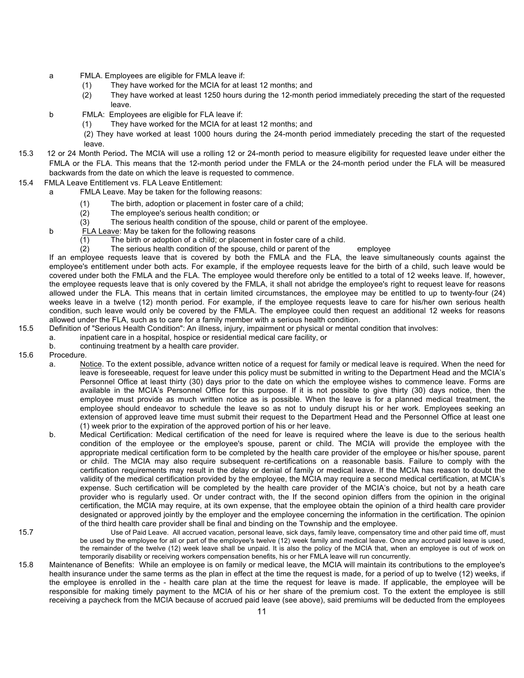- a FMLA. Employees are eligible for FMLA leave if:
	- (1) They have worked for the MCIA for at least 12 months; and
	- (2) They have worked at least 1250 hours during the 12-month period immediately preceding the start of the requested leave.
- b FMLA: Employees are eligible for FLA leave if:
	- (1) They have worked for the MCIA for at least 12 months; and

(2) They have worked at least 1000 hours during the 24-month period immediately preceding the start of the requested leave.

- 15.3 12 or 24 Month Period**.** The MCIA will use a rolling 12 or 24-month period to measure eligibility for requested leave under either the FMLA or the FLA. This means that the 12-month period under the FMLA or the 24-month period under the FLA will be measured backwards from the date on which the leave is requested to commence.
- 15.4FMLA Leave Entitlement vs. FLA Leave Entitlement:
	- a FMLA Leave. May be taken for the following reasons:
		- (1) The birth, adoption or placement in foster care of a child;
		- (2) The employee's serious health condition; or
		- (3) The serious health condition of the spouse, child or parent of the employee.
	- b FLA Leave: May be taken for the following reasons
		- (1) The birth or adoption of a child; or placement in foster care of a child.
		- (2) The serious health condition of the spouse, child or parent of the employee

If an employee requests leave that is covered by both the FMLA and the FLA, the leave simultaneously counts against the employee's entitlement under both acts. For example, if the employee requests leave for the birth of a child, such leave would be covered under both the FMLA and the FLA. The employee would therefore only be entitled to a total of 12 weeks leave. If, however, the employee requests leave that is only covered by the FMLA, it shall not abridge the employee's right to request leave for reasons allowed under the FLA. This means that in certain limited circumstances, the employee may be entitled to up to twenty-four (24) weeks leave in a twelve (12) month period. For example, if the employee requests leave to care for his/her own serious health condition, such leave would only be covered by the FMLA. The employee could then request an additional 12 weeks for reasons allowed under the FLA, such as to care for a family member with a serious health condition.

- 15.5 Definition of "Serious Health Condition": An illness, injury, impairment or physical or mental condition that involves:
	- a. inpatient care in a hospital, hospice or residential medical care facility, or
	- b. continuing treatment by a health care provider.
- 15.6 Procedure.
	- a. Notice. To the extent possible, advance written notice of a request for family or medical leave is required. When the need for leave is foreseeable, request for leave under this policy must be submitted in writing to the Department Head and the MCIA's Personnel Office at least thirty (30) days prior to the date on which the employee wishes to commence leave. Forms are available in the MCIA's Personnel Office for this purpose. If it is not possible to give thirty (30) days notice, then the employee must provide as much written notice as is possible. When the leave is for a planned medical treatment, the employee should endeavor to schedule the leave so as not to unduly disrupt his or her work. Employees seeking an extension of approved leave time must submit their request to the Department Head and the Personnel Office at least one (1) week prior to the expiration of the approved portion of his or her leave.
	- b. Medical Certification: Medical certification of the need for leave is required where the leave is due to the serious health condition of the employee or the employee's spouse, parent or child. The MCIA will provide the employee with the appropriate medical certification form to be completed by the health care provider of the employee or his/her spouse, parent or child. The MCIA may also require subsequent re-certifications on a reasonable basis. Failure to comply with the certification requirements may result in the delay or denial of family or medical leave. If the MCIA has reason to doubt the validity of the medical certification provided by the employee, the MCIA may require a second medical certification, at MCIA's expense. Such certification will be completed by the health care provider of the MCIA's choice, but not by a heath care provider who is regularly used. Or under contract with, the If the second opinion differs from the opinion in the original certification, the MCIA may require, at its own expense, that the employee obtain the opinion of a third health care provider designated or approved jointly by the employer and the employee concerning the information in the certification. The opinion of the third health care provider shall be final and binding on the Township and the employee.
- 

15.7 Use of Paid Leave. All accrued vacation, personal leave, sick days, family leave, compensatory time and other paid time off, must be used by the employee for all or part of the employee's twelve (12) week family and medical leave. Once any accrued paid leave is used, the remainder of the twelve (12) week leave shall be unpaid. It is also the policy of the MCIA that, when an employee is out of work on temporarily disability or receiving workers compensation benefits, his or her FMLA leave will run concurrently.

15.8 Maintenance of Benefits: While an employee is on family or medical leave, the MCIA will maintain its contributions to the employee's health insurance under the same terms as the plan in effect at the time the request is made, for a period of up to twelve (12) weeks, if the employee is enrolled in the - health care plan at the time the request for leave is made. If applicable, the employee will be responsible for making timely payment to the MCIA of his or her share of the premium cost. To the extent the employee is still receiving a paycheck from the MCIA because of accrued paid leave (see above), said premiums will be deducted from the employees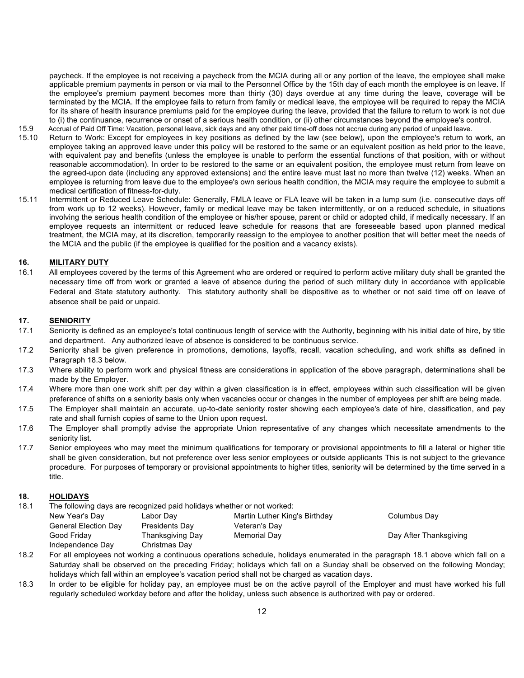paycheck. If the employee is not receiving a paycheck from the MCIA during all or any portion of the leave, the employee shall make applicable premium payments in person or via mail to the Personnel Office by the 15th day of each month the employee is on leave. If the employee's premium payment becomes more than thirty (30) days overdue at any time during the leave, coverage will be terminated by the MCIA. If the employee fails to return from family or medical leave, the employee will be required to repay the MCIA for its share of health insurance premiums paid for the employee during the leave, provided that the failure to return to work is not due to (i) the continuance, recurrence or onset of a serious health condition, or (ii) other circumstances beyond the employee's control.

- 15.9 Accrual of Paid Off Time: Vacation, personal leave, sick days and any other paid time-off does not accrue during any period of unpaid leave.
- 15.10 Return to Work: Except for employees in key positions as defined by the law (see below), upon the employee's return to work, an employee taking an approved leave under this policy will be restored to the same or an equivalent position as held prior to the leave, with equivalent pay and benefits (unless the employee is unable to perform the essential functions of that position, with or without reasonable accommodation). In order to be restored to the same or an equivalent position, the employee must return from leave on the agreed-upon date (including any approved extensions) and the entire leave must last no more than twelve (12) weeks. When an employee is returning from leave due to the employee's own serious health condition, the MCIA may require the employee to submit a medical certification of fitness-for-duty.
- 15.11 Intermittent or Reduced Leave Schedule: Generally, FMLA leave or FLA leave will be taken in a lump sum (i.e. consecutive days off from work up to 12 weeks). However, family or medical leave may be taken intermittently, or on a reduced schedule, in situations involving the serious health condition of the employee or his/her spouse, parent or child or adopted child, if medically necessary. If an employee requests an intermittent or reduced leave schedule for reasons that are foreseeable based upon planned medical treatment, the MCIA may, at its discretion, temporarily reassign to the employee to another position that will better meet the needs of the MCIA and the public (if the employee is qualified for the position and a vacancy exists).

### **16. MILITARY DUTY**

16.1 All employees covered by the terms of this Agreement who are ordered or required to perform active military duty shall be granted the necessary time off from work or granted a leave of absence during the period of such military duty in accordance with applicable Federal and State statutory authority. This statutory authority shall be dispositive as to whether or not said time off on leave of absence shall be paid or unpaid.

### **17. SENIORITY**

- 17.1 Seniority is defined as an employee's total continuous length of service with the Authority, beginning with his initial date of hire, by title and department. Any authorized leave of absence is considered to be continuous service.
- 17.2 Seniority shall be given preference in promotions, demotions, layoffs, recall, vacation scheduling, and work shifts as defined in Paragraph 18.3 below.
- 17.3 Where ability to perform work and physical fitness are considerations in application of the above paragraph, determinations shall be made by the Employer.
- 17.4 Where more than one work shift per day within a given classification is in effect, employees within such classification will be given preference of shifts on a seniority basis only when vacancies occur or changes in the number of employees per shift are being made.
- 17.5 The Employer shall maintain an accurate, up-to-date seniority roster showing each employee's date of hire, classification, and pay rate and shall furnish copies of same to the Union upon request.
- 17.6 The Employer shall promptly advise the appropriate Union representative of any changes which necessitate amendments to the seniority list.
- 17.7 Senior employees who may meet the minimum qualifications for temporary or provisional appointments to fill a lateral or higher title shall be given consideration, but not preference over less senior employees or outside applicants This is not subject to the grievance procedure. For purposes of temporary or provisional appointments to higher titles, seniority will be determined by the time served in a title.

### **18. HOLIDAYS**

18.1 The following days are recognized paid holidays whether or not worked:

| New Year's Day              | Labor Day        | Martin Luther King's Birthday | Columbus Day           |
|-----------------------------|------------------|-------------------------------|------------------------|
| <b>General Election Day</b> | Presidents Day   | Veteran's Day                 |                        |
| Good Fridav                 | Thanksgiving Day | Memorial Day                  | Day After Thanksgiving |
| Independence Day            | Christmas Day    |                               |                        |

- 18.2 For all employees not working a continuous operations schedule, holidays enumerated in the paragraph 18.1 above which fall on a Saturday shall be observed on the preceding Friday; holidays which fall on a Sunday shall be observed on the following Monday; holidays which fall within an employee's vacation period shall not be charged as vacation days.
- 18.3 In order to be eligible for holiday pay, an employee must be on the active payroll of the Employer and must have worked his full regularly scheduled workday before and after the holiday, unless such absence is authorized with pay or ordered.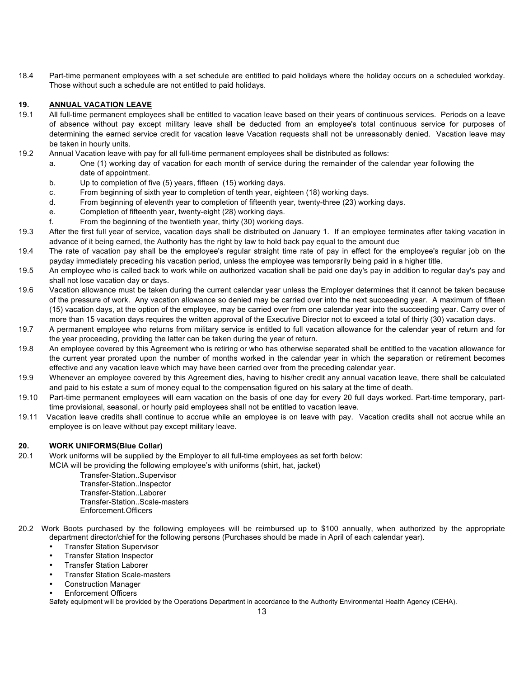18.4 Part-time permanent employees with a set schedule are entitled to paid holidays where the holiday occurs on a scheduled workday. Those without such a schedule are not entitled to paid holidays.

## **19. ANNUAL VACATION LEAVE**

- 19.1 All full-time permanent employees shall be entitled to vacation leave based on their years of continuous services. Periods on a leave of absence without pay except military leave shall be deducted from an employee's total continuous service for purposes of determining the earned service credit for vacation leave Vacation requests shall not be unreasonably denied. Vacation leave may be taken in hourly units.
- 19.2 Annual Vacation leave with pay for all full-time permanent employees shall be distributed as follows:
	- a. One (1) working day of vacation for each month of service during the remainder of the calendar year following the date of appointment.
	- b. Up to completion of five (5) years, fifteen (15) working days.
	- c. From beginning of sixth year to completion of tenth year, eighteen (18) working days.
	- d. From beginning of eleventh year to completion of fifteenth year, twenty-three (23) working days.
	- e. Completion of fifteenth year, twenty-eight (28) working days.
	- f. From the beginning of the twentieth year, thirty (30) working days.
- 19.3 After the first full year of service, vacation days shall be distributed on January 1. If an employee terminates after taking vacation in advance of it being earned, the Authority has the right by law to hold back pay equal to the amount due
- 19.4 The rate of vacation pay shall be the employee's regular straight time rate of pay in effect for the employee's regular job on the payday immediately preceding his vacation period, unless the employee was temporarily being paid in a higher title.
- 19.5 An employee who is called back to work while on authorized vacation shall be paid one day's pay in addition to regular day's pay and shall not lose vacation day or days.
- 19.6 Vacation allowance must be taken during the current calendar year unless the Employer determines that it cannot be taken because of the pressure of work. Any vacation allowance so denied may be carried over into the next succeeding year. A maximum of fifteen (15) vacation days, at the option of the employee, may be carried over from one calendar year into the succeeding year. Carry over of more than 15 vacation days requires the written approval of the Executive Director not to exceed a total of thirty (30) vacation days.
- 19.7 A permanent employee who returns from military service is entitled to full vacation allowance for the calendar year of return and for the year proceeding, providing the latter can be taken during the year of return.
- 19.8 An employee covered by this Agreement who is retiring or who has otherwise separated shall be entitled to the vacation allowance for the current year prorated upon the number of months worked in the calendar year in which the separation or retirement becomes effective and any vacation leave which may have been carried over from the preceding calendar year.
- 19.9 Whenever an employee covered by this Agreement dies, having to his/her credit any annual vacation leave, there shall be calculated and paid to his estate a sum of money equal to the compensation figured on his salary at the time of death.
- 19.10 Part-time permanent employees will earn vacation on the basis of one day for every 20 full days worked. Part-time temporary, parttime provisional, seasonal, or hourly paid employees shall not be entitled to vacation leave.
- 19.11 Vacation leave credits shall continue to accrue while an employee is on leave with pay. Vacation credits shall not accrue while an employee is on leave without pay except military leave.

## **20. WORK UNIFORMS(Blue Collar)**

20.1 Work uniforms will be supplied by the Employer to all full-time employees as set forth below:

MCIA will be providing the following employee's with uniforms (shirt, hat, jacket)

Transfer-Station..Supervisor Transfer-Station..Inspector Transfer-Station..Laborer Transfer-Station..Scale-masters Enforcement.Officers

- 20.2 Work Boots purchased by the following employees will be reimbursed up to \$100 annually, when authorized by the appropriate department director/chief for the following persons (Purchases should be made in April of each calendar year).
	- Transfer Station Supervisor
	- Transfer Station Inspector
	- Transfer Station Laborer
	- Transfer Station Scale-masters
	- Construction Manager
	- Enforcement Officers

Safety equipment will be provided by the Operations Department in accordance to the Authority Environmental Health Agency (CEHA).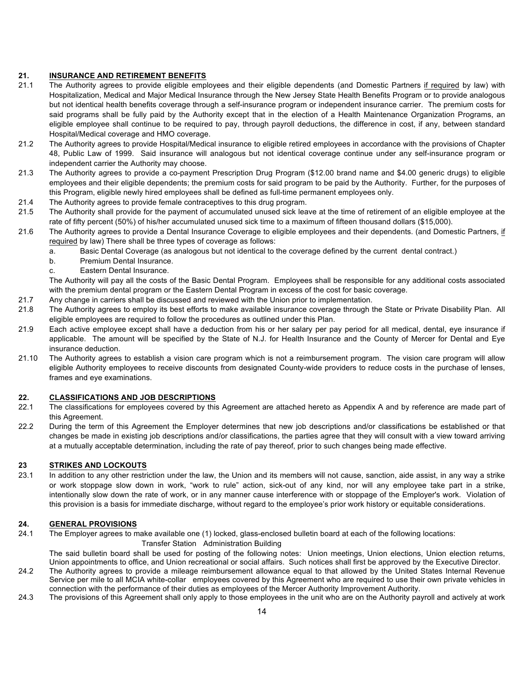## **21. INSURANCE AND RETIREMENT BENEFITS**

- 21.1 The Authority agrees to provide eligible employees and their eligible dependents (and Domestic Partners if required by law) with Hospitalization, Medical and Major Medical Insurance through the New Jersey State Health Benefits Program or to provide analogous but not identical health benefits coverage through a self-insurance program or independent insurance carrier. The premium costs for said programs shall be fully paid by the Authority except that in the election of a Health Maintenance Organization Programs, an eligible employee shall continue to be required to pay, through payroll deductions, the difference in cost, if any, between standard Hospital/Medical coverage and HMO coverage.
- 21.2 The Authority agrees to provide Hospital/Medical insurance to eligible retired employees in accordance with the provisions of Chapter 48, Public Law of 1999. Said insurance will analogous but not identical coverage continue under any self-insurance program or independent carrier the Authority may choose.
- 21.3 The Authority agrees to provide a co-payment Prescription Drug Program (\$12.00 brand name and \$4.00 generic drugs) to eligible employees and their eligible dependents; the premium costs for said program to be paid by the Authority. Further, for the purposes of this Program, eligible newly hired employees shall be defined as full-time permanent employees only.
- 21.4 The Authority agrees to provide female contraceptives to this drug program.
- 21.5 The Authority shall provide for the payment of accumulated unused sick leave at the time of retirement of an eligible employee at the rate of fifty percent (50%) of his/her accumulated unused sick time to a maximum of fifteen thousand dollars (\$15,000).
- 21.6 The Authority agrees to provide a Dental Insurance Coverage to eligible employees and their dependents. (and Domestic Partners, if required by law) There shall be three types of coverage as follows:
	- a. Basic Dental Coverage (as analogous but not identical to the coverage defined by the current dental contract.)
	- b. Premium Dental Insurance.
	- c. Eastern Dental Insurance.

The Authority will pay all the costs of the Basic Dental Program. Employees shall be responsible for any additional costs associated with the premium dental program or the Eastern Dental Program in excess of the cost for basic coverage.

- 21.7 Any change in carriers shall be discussed and reviewed with the Union prior to implementation.
- 21.8 The Authority agrees to employ its best efforts to make available insurance coverage through the State or Private Disability Plan. All eligible employees are required to follow the procedures as outlined under this Plan.
- 21.9 Each active employee except shall have a deduction from his or her salary per pay period for all medical, dental, eye insurance if applicable. The amount will be specified by the State of N.J. for Health Insurance and the County of Mercer for Dental and Eye insurance deduction.
- 21.10 The Authority agrees to establish a vision care program which is not a reimbursement program. The vision care program will allow eligible Authority employees to receive discounts from designated County-wide providers to reduce costs in the purchase of lenses, frames and eye examinations.

## **22. CLASSIFICATIONS AND JOB DESCRIPTIONS**

- 22.1 The classifications for employees covered by this Agreement are attached hereto as Appendix A and by reference are made part of this Agreement.
- 22.2 During the term of this Agreement the Employer determines that new job descriptions and/or classifications be established or that changes be made in existing job descriptions and/or classifications, the parties agree that they will consult with a view toward arriving at a mutually acceptable determination, including the rate of pay thereof, prior to such changes being made effective.

### **23 STRIKES AND LOCKOUTS**

23.1 In addition to any other restriction under the law, the Union and its members will not cause, sanction, aide assist, in any way a strike or work stoppage slow down in work, "work to rule" action, sick-out of any kind, nor will any employee take part in a strike, intentionally slow down the rate of work, or in any manner cause interference with or stoppage of the Employer's work. Violation of this provision is a basis for immediate discharge, without regard to the employee's prior work history or equitable considerations.

### **24. GENERAL PROVISIONS**

24.1 The Employer agrees to make available one (1) locked, glass-enclosed bulletin board at each of the following locations:

#### Transfer Station Administration Building

The said bulletin board shall be used for posting of the following notes: Union meetings, Union elections, Union election returns, Union appointments to office, and Union recreational or social affairs. Such notices shall first be approved by the Executive Director.

- 24.2 The Authority agrees to provide a mileage reimbursement allowance equal to that allowed by the United States Internal Revenue Service per mile to all MCIA white-collar employees covered by this Agreement who are required to use their own private vehicles in connection with the performance of their duties as employees of the Mercer Authority Improvement Authority.
- 24.3 The provisions of this Agreement shall only apply to those employees in the unit who are on the Authority payroll and actively at work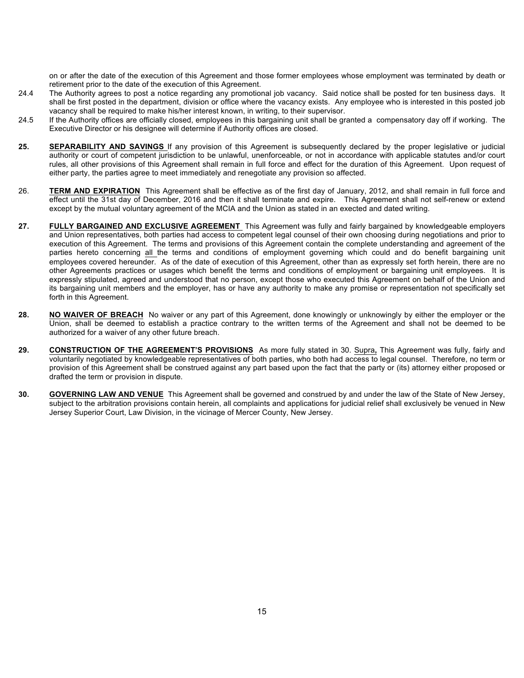on or after the date of the execution of this Agreement and those former employees whose employment was terminated by death or retirement prior to the date of the execution of this Agreement.

- 24.4 The Authority agrees to post a notice regarding any promotional job vacancy. Said notice shall be posted for ten business davs. It shall be first posted in the department, division or office where the vacancy exists. Any employee who is interested in this posted job vacancy shall be required to make his/her interest known, in writing, to their supervisor.
- 24.5 If the Authority offices are officially closed, employees in this bargaining unit shall be granted a compensatory day off if working. The Executive Director or his designee will determine if Authority offices are closed.
- **25. SEPARABILITY AND SAVINGS** If any provision of this Agreement is subsequently declared by the proper legislative or judicial authority or court of competent jurisdiction to be unlawful, unenforceable, or not in accordance with applicable statutes and/or court rules, all other provisions of this Agreement shall remain in full force and effect for the duration of this Agreement. Upon request of either party, the parties agree to meet immediately and renegotiate any provision so affected.
- 26. **TERM AND EXPIRATION** This Agreement shall be effective as of the first day of January, 2012, and shall remain in full force and effect until the 31st day of December, 2016 and then it shall terminate and expire. This Agreement shall not self-renew or extend except by the mutual voluntary agreement of the MCIA and the Union as stated in an exected and dated writing.
- **27. FULLY BARGAINED AND EXCLUSIVE AGREEMENT** This Agreement was fully and fairly bargained by knowledgeable employers and Union representatives, both parties had access to competent legal counsel of their own choosing during negotiations and prior to execution of this Agreement. The terms and provisions of this Agreement contain the complete understanding and agreement of the parties hereto concerning all the terms and conditions of employment governing which could and do benefit bargaining unit employees covered hereunder. As of the date of execution of this Agreement, other than as expressly set forth herein, there are no other Agreements practices or usages which benefit the terms and conditions of employment or bargaining unit employees. It is expressly stipulated, agreed and understood that no person, except those who executed this Agreement on behalf of the Union and its bargaining unit members and the employer, has or have any authority to make any promise or representation not specifically set forth in this Agreement.
- **28. NO WAIVER OF BREACH** No waiver or any part of this Agreement, done knowingly or unknowingly by either the employer or the Union, shall be deemed to establish a practice contrary to the written terms of the Agreement and shall not be deemed to be authorized for a waiver of any other future breach.
- **29. CONSTRUCTION OF THE AGREEMENT'S PROVISIONS** As more fully stated in 30. Supra**,** This Agreement was fully, fairly and voluntarily negotiated by knowledgeable representatives of both parties, who both had access to legal counsel. Therefore, no term or provision of this Agreement shall be construed against any part based upon the fact that the party or (its) attorney either proposed or drafted the term or provision in dispute.
- **30. GOVERNING LAW AND VENUE** This Agreement shall be governed and construed by and under the law of the State of New Jersey, subject to the arbitration provisions contain herein, all complaints and applications for judicial relief shall exclusively be venued in New Jersey Superior Court, Law Division, in the vicinage of Mercer County, New Jersey.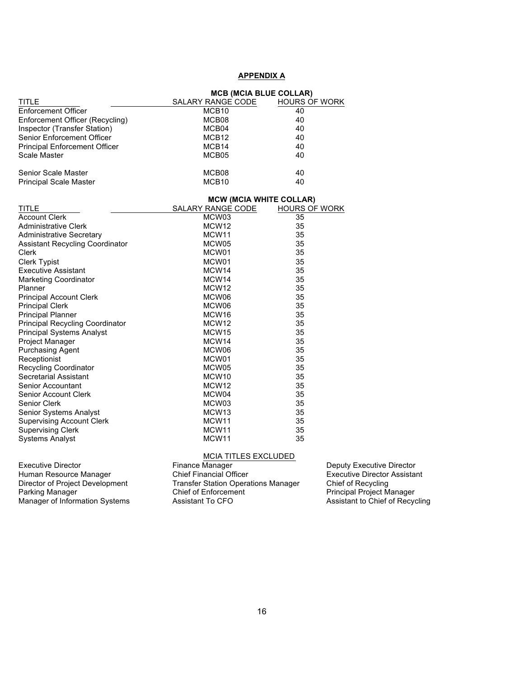## **APPENDIX A**

|                                        | <b>MCB (MCIA BLUE COLLAR)</b>  |                      |  |  |  |  |  |
|----------------------------------------|--------------------------------|----------------------|--|--|--|--|--|
| TITLE                                  | SALARY RANGE CODE              | <b>HOURS OF WORK</b> |  |  |  |  |  |
| Enforcement Officer                    | MCB <sub>10</sub>              | 40                   |  |  |  |  |  |
| Enforcement Officer (Recycling)        | MCB08                          | 40                   |  |  |  |  |  |
| Inspector (Transfer Station)           | MCB04                          | 40                   |  |  |  |  |  |
| Senior Enforcement Officer             | MCB <sub>12</sub>              | 40                   |  |  |  |  |  |
| <b>Principal Enforcement Officer</b>   | MCB14                          | 40                   |  |  |  |  |  |
| Scale Master                           | MCB05                          | 40                   |  |  |  |  |  |
| <b>Senior Scale Master</b>             | MCB08                          | 40                   |  |  |  |  |  |
| <b>Principal Scale Master</b>          | MCB <sub>10</sub>              | 40                   |  |  |  |  |  |
|                                        | <b>MCW (MCIA WHITE COLLAR)</b> |                      |  |  |  |  |  |
| <b>TITLE</b>                           | SALARY RANGE CODE              | HOURS OF WORK        |  |  |  |  |  |
| <b>Account Clerk</b>                   | MCW03                          | 35                   |  |  |  |  |  |
| <b>Administrative Clerk</b>            | MCW <sub>12</sub>              | 35                   |  |  |  |  |  |
| <b>Administrative Secretary</b>        | MCW <sub>11</sub>              | 35                   |  |  |  |  |  |
| <b>Assistant Recycling Coordinator</b> | MCW05                          | 35                   |  |  |  |  |  |
| Clerk                                  | MCW01                          | 35                   |  |  |  |  |  |
| <b>Clerk Typist</b>                    | MCW01                          | 35                   |  |  |  |  |  |
| <b>Executive Assistant</b>             | MCW14                          | 35                   |  |  |  |  |  |
| <b>Marketing Coordinator</b>           | MCW14                          | 35                   |  |  |  |  |  |
| Planner                                | MCW <sub>12</sub>              | 35                   |  |  |  |  |  |
| <b>Principal Account Clerk</b>         | MCW06                          | 35                   |  |  |  |  |  |
| <b>Principal Clerk</b>                 | MCW06                          | 35                   |  |  |  |  |  |
| <b>Principal Planner</b>               | MCW <sub>16</sub>              | 35                   |  |  |  |  |  |
| <b>Principal Recycling Coordinator</b> | MCW <sub>12</sub>              | 35                   |  |  |  |  |  |
| <b>Principal Systems Analyst</b>       | MCW <sub>15</sub>              | 35                   |  |  |  |  |  |
| Project Manager                        | MCW <sub>14</sub>              | 35                   |  |  |  |  |  |
| <b>Purchasing Agent</b>                | MCW06                          | 35                   |  |  |  |  |  |
| Receptionist                           | MCW01                          | 35                   |  |  |  |  |  |
| <b>Recycling Coordinator</b>           | MCW05                          | 35                   |  |  |  |  |  |
| Secretarial Assistant                  | MCW <sub>10</sub>              | 35                   |  |  |  |  |  |
| Senior Accountant                      | MCW <sub>12</sub>              | 35                   |  |  |  |  |  |
| <b>Senior Account Clerk</b>            | MCW04                          | 35                   |  |  |  |  |  |
| Senior Clerk                           | MCW03                          | 35                   |  |  |  |  |  |
| Senior Systems Analyst                 | MCW <sub>13</sub>              | 35                   |  |  |  |  |  |
| <b>Supervising Account Clerk</b>       | MCW <sub>11</sub>              | 35                   |  |  |  |  |  |
| <b>Supervising Clerk</b>               | MCW11                          | 35                   |  |  |  |  |  |
| <b>Systems Analyst</b>                 | MCW <sub>11</sub>              | 35                   |  |  |  |  |  |

#### MCIA TITLES EXCLUDED

Manager of Information Systems **Assistant To CFO** Assistant To CFO Assistant to Chief of Recycling

Executive Director **Finance Manager Executive Director** Deputy Executive Director Human Resource Manager Chief Financial Officer Executive Director Assistant<br>Director of Project Development Transfer Station Operations Manager Chief of Recycling Transfer Station Operations Manager<br>
Chief of Enforcement Principal Project Manager<br>
Assistant To CFO Assistant to Chief of Recycling Parking Manager **Chief of Enforcement** Principal Project Manager **Principal Project Manager**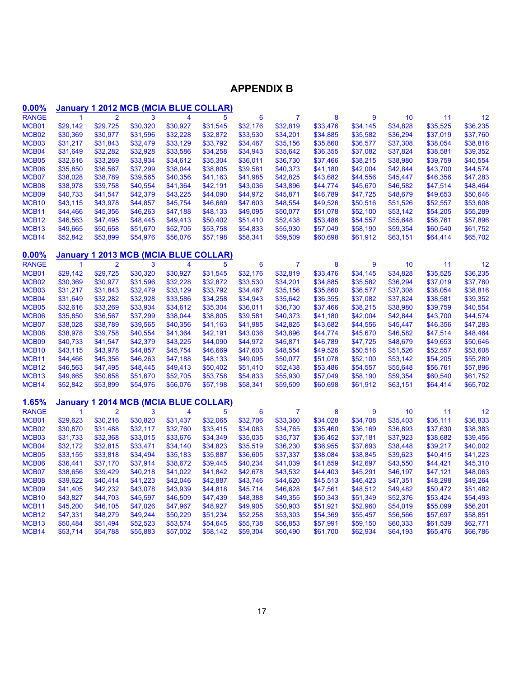# **APPENDIX B**

| $0.00\%$              |                |                |          |                         | <b>January 1 2012 MCB (MCIA BLUE COLLAR)</b> |          |                |          |          |          |          |          |
|-----------------------|----------------|----------------|----------|-------------------------|----------------------------------------------|----------|----------------|----------|----------|----------|----------|----------|
| <b>RANGE</b>          | $\overline{1}$ | $\overline{2}$ | 3        | $\overline{\mathbf{4}}$ | 5                                            | 6        | $\overline{7}$ | 8        | 9        | 10       | 11       | 12       |
| MCB01                 | \$29,142       | \$29,725       | \$30,320 | \$30,927                | \$31,545                                     | \$32,176 | \$32,819       | \$33,476 | \$34,145 | \$34,828 | \$35,525 | \$36,235 |
| MCB <sub>02</sub>     | \$30,369       | \$30,977       | \$31,596 | \$32,228                | \$32,872                                     | \$33,530 | \$34,201       | \$34,885 | \$35,582 | \$36,294 | \$37,019 | \$37,760 |
| MCB03                 | \$31,217       | \$31,843       | \$32,479 | \$33,129                | \$33,792                                     | \$34,467 | \$35,156       | \$35,860 | \$36,577 | \$37,308 | \$38,054 | \$38,816 |
| MCB04                 | \$31,649       | \$32,282       | \$32,928 | \$33,586                | \$34,258                                     | \$34,943 | \$35,642       | \$36,355 | \$37,082 | \$37,824 | \$38,581 | \$39,352 |
| MCB05                 | \$32,616       | \$33,269       | \$33,934 | \$34,612                | \$35,304                                     | \$36,011 | \$36,730       | \$37,466 | \$38,215 | \$38,980 | \$39,759 | \$40,554 |
| MCB06                 | \$35,850       | \$36,567       | \$37,299 | \$38,044                | \$38,805                                     | \$39,581 | \$40,373       | \$41,180 | \$42,004 | \$42,844 | \$43,700 | \$44,574 |
| MCB07                 | \$38,028       | \$38,789       | \$39,565 | \$40,356                | \$41,163                                     | \$41,985 | \$42,825       | \$43,682 | \$44,556 | \$45,447 | \$46,356 | \$47,283 |
| MCB08                 | \$38,978       | \$39,758       | \$40,554 | \$41,364                | \$42,191                                     | \$43,036 | \$43,896       | \$44,774 | \$45,670 | \$46,582 | \$47,514 | \$48,464 |
| MCB09                 | \$40,733       | \$41,547       | \$42,379 | \$43,225                | \$44,090                                     | \$44,972 | \$45,871       | \$46,789 | \$47,725 | \$48,679 | \$49,653 | \$50,646 |
| MCB <sub>10</sub>     | \$43,115       | \$43,978       | \$44,857 | \$45,754                | \$46,669                                     | \$47,603 | \$48,554       | \$49,526 | \$50,516 | \$51,526 | \$52,557 | \$53,608 |
| MCB <sub>11</sub>     | \$44,466       | \$45,356       | \$46,263 | \$47,188                | \$48,133                                     | \$49,095 | \$50,077       | \$51,078 | \$52,100 | \$53,142 | \$54,205 | \$55,289 |
| MCB <sub>12</sub>     | \$46,563       | \$47,495       | \$48,445 | \$49,413                | \$50,402                                     | \$51,410 | \$52,438       | \$53,486 | \$54,557 | \$55,648 | \$56,761 | \$57,896 |
| MCB <sub>13</sub>     | \$49,665       | \$50,658       | \$51,670 | \$52,705                | \$53,758                                     | \$54,833 | \$55,930       | \$57,049 | \$58,190 | \$59,354 | \$60,540 | \$61,752 |
| MCB14                 | \$52,842       | \$53,899       | \$54,976 | \$56,076                | \$57,198                                     | \$58,341 | \$59,509       | \$60,698 | \$61,912 | \$63,151 | \$64,414 | \$65,702 |
|                       |                |                |          |                         |                                              |          |                |          |          |          |          |          |
| 0.00%<br><b>RANGE</b> | Januarv<br>1   | $\overline{2}$ | 3        | 4                       | <b>1 2013 MCB (MCIA BLUE COLLAR)</b><br>5    | 6        | 7              | 8        | 9        | 10       | 11       | 12       |
| MCB01                 | \$29,142       | \$29,725       | \$30,320 | \$30,927                | \$31,545                                     | \$32,176 | \$32,819       | \$33,476 | \$34,145 | \$34,828 | \$35,525 | \$36,235 |
| MCB <sub>02</sub>     | \$30,369       | \$30,977       | \$31,596 | \$32,228                | \$32,872                                     | \$33,530 | \$34,201       | \$34,885 | \$35,582 | \$36,294 | \$37,019 | \$37,760 |
| MCB03                 | \$31,217       | \$31,843       | \$32,479 | \$33,129                | \$33,792                                     | \$34,467 | \$35,156       | \$35,860 | \$36,577 | \$37,308 | \$38,054 | \$38,816 |
| MCB04                 | \$31,649       | \$32,282       | \$32,928 | \$33,586                | \$34,258                                     | \$34,943 | \$35,642       | \$36,355 | \$37,082 | \$37,824 | \$38,581 | \$39,352 |
| MCB05                 | \$32,616       | \$33,269       | \$33,934 | \$34,612                | \$35,304                                     | \$36,011 | \$36,730       | \$37,466 | \$38,215 | \$38,980 | \$39,759 | \$40,554 |
| MCB06                 | \$35,850       | \$36,567       | \$37,299 | \$38,044                | \$38,805                                     | \$39,581 | \$40,373       | \$41,180 | \$42,004 | \$42,844 | \$43,700 | \$44,574 |
| MCB07                 | \$38,028       | \$38,789       | \$39,565 | \$40,356                | \$41,163                                     | \$41,985 | \$42,825       | \$43,682 | \$44,556 | \$45,447 | \$46,356 | \$47,283 |
| MCB08                 | \$38,978       | \$39,758       | \$40,554 | \$41,364                | \$42,191                                     | \$43,036 | \$43,896       | \$44,774 | \$45,670 | \$46,582 | \$47,514 | \$48,464 |
| MCB09                 | \$40,733       | \$41,547       | \$42,379 | \$43,225                | \$44,090                                     | \$44,972 | \$45,871       | \$46,789 | \$47,725 | \$48,679 | \$49,653 | \$50,646 |
| MCB <sub>10</sub>     | \$43,115       | \$43,978       | \$44,857 | \$45,754                | \$46,669                                     | \$47,603 | \$48,554       | \$49,526 | \$50,516 | \$51,526 | \$52,557 | \$53,608 |
| MCB11                 | \$44,466       | \$45,356       | \$46,263 | \$47,188                | \$48,133                                     | \$49,095 | \$50,077       | \$51,078 | \$52,100 | \$53,142 | \$54,205 | \$55,289 |
| MCB <sub>12</sub>     | \$46,563       | \$47,495       | \$48,445 | \$49,413                | \$50,402                                     | \$51,410 | \$52,438       | \$53,486 | \$54,557 | \$55,648 | \$56,761 | \$57,896 |
| MCB <sub>13</sub>     | \$49,665       | \$50,658       | \$51,670 | \$52,705                | \$53,758                                     | \$54,833 | \$55,930       | \$57,049 | \$58,190 | \$59,354 | \$60,540 | \$61,752 |
| MCB <sub>14</sub>     | \$52,842       | \$53,899       | \$54,976 | \$56,076                | \$57,198                                     | \$58,341 | \$59,509       | \$60,698 | \$61,912 | \$63,151 | \$64,414 | \$65,702 |
|                       |                |                |          |                         |                                              |          |                |          |          |          |          |          |
| 1.65%                 | January        |                |          |                         | 1 2014 MCB (MCIA BLUE COLLAR)                |          |                |          |          |          |          |          |
| <b>RANGE</b>          | 1              | $\overline{2}$ | 3        | 4                       | 5                                            | 6        | 7              | 8        | 9        | 10       | 11       | 12       |
| MCB01                 | \$29,623       | \$30,216       | \$30,820 | \$31,437                | \$32,065                                     | \$32,706 | \$33,360       | \$34,028 | \$34,708 | \$35,403 | \$36,111 | \$36,833 |
| MCB <sub>02</sub>     | \$30,870       | \$31,488       | \$32,117 | \$32,760                | \$33,415                                     | \$34,083 | \$34,765       | \$35,460 | \$36,169 | \$36,893 | \$37,630 | \$38,383 |
| MCB03                 | \$31,733       | \$32,368       | \$33,015 | \$33,676                | \$34,349                                     | \$35,035 | \$35,737       | \$36,452 | \$37,181 | \$37,923 | \$38,682 | \$39,456 |
| MCB04                 | \$32,172       | \$32,815       | \$33,471 | \$34,140                | \$34,823                                     | \$35,519 | \$36,230       | \$36,955 | \$37,693 | \$38,448 | \$39,217 | \$40,002 |
| MCB05                 | \$33,155       | \$33,818       | \$34,494 | \$35,183                | \$35,887                                     | \$36,605 | \$37,337       | \$38,084 | \$38,845 | \$39,623 | \$40,415 | \$41,223 |
| MCB06                 | \$36,441       | \$37,170       | \$37,914 | \$38,672                | \$39,445                                     | \$40,234 | \$41,039       | \$41,859 | \$42,697 | \$43,550 | \$44,421 | \$45,310 |
| MCB07                 | \$38,656       | \$39,429       | \$40,218 | \$41,022                | \$41,842                                     | \$42,678 | \$43,532       | \$44,403 | \$45,291 | \$46,197 | \$47,121 | \$48,063 |
| MCB08                 | \$39,622       | \$40,414       | \$41,223 | \$42,046                | \$42,887                                     | \$43,746 | \$44,620       | \$45,513 | \$46,423 | \$47,351 | \$48,298 | \$49,264 |
| MCB09                 | \$41,405       | \$42,232       | \$43,078 | \$43,939                | \$44,818                                     | \$45,714 | \$46,628       | \$47,561 | \$48,512 | \$49,482 | \$50,472 | \$51,482 |
| MCB <sub>10</sub>     | \$43,827       | \$44,703       | \$45,597 | \$46,509                | \$47,439                                     | \$48,388 | \$49,355       | \$50,343 | \$51,349 | \$52,376 | \$53,424 | \$54,493 |
| MCB <sub>11</sub>     | \$45,200       | \$46,105       | \$47,026 | \$47,967                | \$48,927                                     | \$49,905 | \$50,903       | \$51,921 | \$52,960 | \$54,019 | \$55,099 | \$56,201 |
| MCB <sub>12</sub>     | \$47,331       | \$48,279       | \$49,244 | \$50,229                | \$51,234                                     | \$52,258 | \$53,303       | \$54,369 | \$55,457 | \$56,566 | \$57,697 | \$58,851 |
| MCB <sub>13</sub>     | \$50,484       | \$51,494       | \$52,523 | \$53,574                | \$54,645                                     | \$55,738 | \$56,853       | \$57,991 | \$59,150 | \$60,333 | \$61,539 | \$62,771 |
| MCB14                 | \$53,714       | \$54,788       | \$55,883 | \$57,002                | \$58,142                                     | \$59,304 | \$60,490       | \$61,700 | \$62,934 | \$64,193 | \$65,476 | \$66,786 |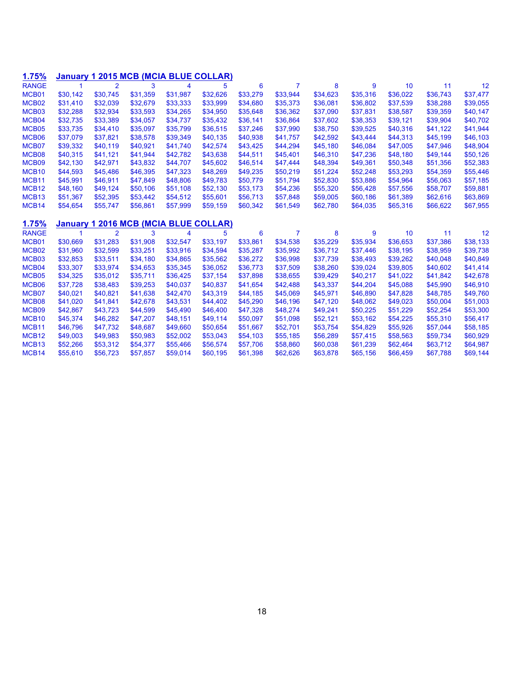| 1.75%             | <b>January</b> |                |          |          | 1 2015 MCB (MCIA BLUE COLLAR) |          |          |          |          |          |          |          |
|-------------------|----------------|----------------|----------|----------|-------------------------------|----------|----------|----------|----------|----------|----------|----------|
| <b>RANGE</b>      | 1              | $\overline{2}$ | 3        | 4        | 5                             | 6        | 7        | 8        | 9        | 10       | 11       | 12       |
| MCB01             | \$30,142       | \$30,745       | \$31,359 | \$31,987 | \$32,626                      | \$33,279 | \$33,944 | \$34,623 | \$35,316 | \$36,022 | \$36,743 | \$37,477 |
| MCB <sub>02</sub> | \$31,410       | \$32.039       | \$32.679 | \$33.333 | \$33.999                      | \$34,680 | \$35.373 | \$36,081 | \$36,802 | \$37.539 | \$38,288 | \$39,055 |
| MCB03             | \$32,288       | \$32,934       | \$33,593 | \$34,265 | \$34,950                      | \$35,648 | \$36,362 | \$37,090 | \$37,831 | \$38,587 | \$39,359 | \$40,147 |
| MCB04             | \$32,735       | \$33,389       | \$34,057 | \$34,737 | \$35,432                      | \$36,141 | \$36,864 | \$37,602 | \$38,353 | \$39,121 | \$39,904 | \$40,702 |
| MCB05             | \$33,735       | \$34,410       | \$35,097 | \$35,799 | \$36,515                      | \$37,246 | \$37,990 | \$38,750 | \$39,525 | \$40,316 | \$41,122 | \$41,944 |
| MCB06             | \$37,079       | \$37,821       | \$38,578 | \$39,349 | \$40,135                      | \$40,938 | \$41,757 | \$42,592 | \$43,444 | \$44,313 | \$45,199 | \$46,103 |
| MCB07             | \$39,332       | \$40,119       | \$40,921 | \$41,740 | \$42,574                      | \$43,425 | \$44,294 | \$45,180 | \$46,084 | \$47,005 | \$47,946 | \$48,904 |
| MCB08             | \$40,315       | \$41,121       | \$41,944 | \$42,782 | \$43,638                      | \$44,511 | \$45,401 | \$46,310 | \$47,236 | \$48,180 | \$49,144 | \$50,126 |
| MCB09             | \$42,130       | \$42,971       | \$43,832 | \$44,707 | \$45,602                      | \$46,514 | \$47,444 | \$48,394 | \$49,361 | \$50,348 | \$51,356 | \$52,383 |
| MCB <sub>10</sub> | \$44,593       | \$45,486       | \$46,395 | \$47,323 | \$48,269                      | \$49,235 | \$50,219 | \$51,224 | \$52,248 | \$53,293 | \$54,359 | \$55,446 |
| MCB <sub>11</sub> | \$45,991       | \$46,911       | \$47,849 | \$48,806 | \$49,783                      | \$50,779 | \$51.794 | \$52,830 | \$53,886 | \$54,964 | \$56,063 | \$57,185 |
| MCB <sub>12</sub> | \$48,160       | \$49,124       | \$50,106 | \$51,108 | \$52,130                      | \$53,173 | \$54,236 | \$55,320 | \$56,428 | \$57,556 | \$58,707 | \$59,881 |
| MCB <sub>13</sub> | \$51,367       | \$52,395       | \$53,442 | \$54,512 | \$55,601                      | \$56,713 | \$57,848 | \$59,005 | \$60,186 | \$61,389 | \$62,616 | \$63,869 |
| MCB <sub>14</sub> | \$54,654       | \$55,747       | \$56,861 | \$57,999 | \$59,159                      | \$60,342 | \$61,549 | \$62,780 | \$64,035 | \$65,316 | \$66,622 | \$67,955 |
| 1.75%             | <b>January</b> |                |          |          | 1 2016 MCB (MCIA BLUE COLLAR) |          |          |          |          |          |          |          |
| <b>RANGE</b>      | 1              | $\overline{2}$ | 3        | 4        | 5                             | 6        | 7        | 8        | 9        | 10       | 11       | 12       |
| MCB01             | \$30,669       | \$31,283       | \$31,908 | \$32,547 | \$33,197                      | \$33,861 | \$34,538 | \$35,229 | \$35,934 | \$36,653 | \$37.386 | \$38,133 |
| MCB <sub>02</sub> | \$31,960       | \$32,599       | \$33,251 | \$33,916 | \$34,594                      | \$35,287 | \$35,992 | \$36,712 | \$37,446 | \$38,195 | \$38,959 | \$39,738 |
| MCB03             | \$32,853       | \$33,511       | \$34,180 | \$34,865 | \$35,562                      | \$36,272 | \$36,998 | \$37,739 | \$38,493 | \$39,262 | \$40,048 | \$40,849 |
| MCB04             | \$33,307       | \$33,974       | \$34,653 | \$35,345 | \$36,052                      | \$36,773 | \$37,509 | \$38,260 | \$39,024 | \$39,805 | \$40,602 | \$41,414 |
| MCB05             | \$34,325       | \$35,012       | \$35,711 | \$36,425 | \$37,154                      | \$37,898 | \$38,655 | \$39,429 | \$40,217 | \$41,022 | \$41,842 | \$42,678 |
| MCB06             | \$37,728       | \$38,483       | \$39,253 | \$40,037 | \$40,837                      | \$41,654 | \$42,488 | \$43,337 | \$44,204 | \$45,088 | \$45,990 | \$46,910 |
| MCB07             | \$40.021       | \$40.821       | \$41,638 | \$42,470 | \$43,319                      | \$44.185 | \$45,069 | \$45,971 | \$46,890 | \$47.828 | \$48,785 | \$49,760 |
| MCB08             | \$41,020       | \$41,841       | \$42,678 | \$43,531 | \$44,402                      | \$45,290 | \$46,196 | \$47,120 | \$48,062 | \$49,023 | \$50,004 | \$51,003 |
| MCB09             | \$42,867       | \$43,723       | \$44,599 | \$45,490 | \$46,400                      | \$47,328 | \$48,274 | \$49,241 | \$50,225 | \$51,229 | \$52,254 | \$53,300 |
| MCB <sub>10</sub> | \$45,374       | \$46,282       | \$47,207 | \$48,151 | \$49,114                      | \$50,097 | \$51,098 | \$52,121 | \$53,162 | \$54,225 | \$55,310 | \$56,417 |
| MCB <sub>11</sub> | \$46,796       | \$47,732       | \$48,687 | \$49,660 | \$50,654                      | \$51,667 | \$52,701 | \$53,754 | \$54,829 | \$55,926 | \$57,044 | \$58,185 |
| MCB <sub>12</sub> | \$49,003       | \$49,983       | \$50,983 | \$52,002 | \$53,043                      | \$54,103 | \$55,185 | \$56,289 | \$57,415 | \$58,563 | \$59,734 | \$60,929 |
| MCB <sub>13</sub> | \$52,266       | \$53,312       | \$54,377 | \$55,466 | \$56,574                      | \$57,706 | \$58,860 | \$60,038 | \$61,239 | \$62,464 | \$63,712 | \$64,987 |
| MCB <sub>14</sub> | \$55,610       | \$56,723       | \$57,857 | \$59,014 | \$60,195                      | \$61,398 | \$62,626 | \$63,878 | \$65,156 | \$66,459 | \$67.788 | \$69,144 |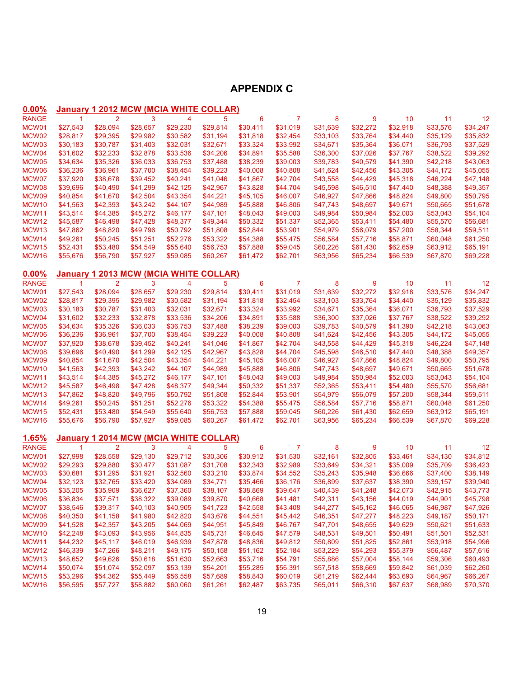# **APPENDIX C**

| 0.00%                 |                      |                | <b>January 1 2012 MCW (MCIA WHITE COLLAR)</b> |                      |                      |                      |                      |                      |                      |                      |                      |                      |
|-----------------------|----------------------|----------------|-----------------------------------------------|----------------------|----------------------|----------------------|----------------------|----------------------|----------------------|----------------------|----------------------|----------------------|
| <b>RANGE</b>          | $\mathbf{1}$         | $\overline{2}$ | 3                                             | 4                    | 5                    | 6                    | 7                    | 8                    | 9                    | 10                   | 11                   | 12                   |
| MCW01                 | \$27,543             | \$28,094       | \$28,657                                      | \$29,230             | \$29,814             | \$30,411             | \$31,019             | \$31,639             | \$32,272             | \$32,918             | \$33,576             | \$34,247             |
| MCW02                 | \$28,817             | \$29,395       | \$29,982                                      | \$30,582             | \$31,194             | \$31,818             | \$32,454             | \$33,103             | \$33,764             | \$34,440             | \$35,129             | \$35,832             |
| MCW03                 | \$30,183             | \$30,787       | \$31,403                                      | \$32,031             | \$32,671             | \$33,324             | \$33,992             | \$34,671             | \$35,364             | \$36,071             | \$36,793             | \$37,529             |
| MCW04                 | \$31,602             | \$32,233       | \$32,878                                      | \$33,536             | \$34,206             | \$34,891             | \$35,588             | \$36,300             | \$37,026             | \$37,767             | \$38,522             | \$39,292             |
| MCW05                 | \$34,634             | \$35,326       | \$36,033                                      | \$36,753             | \$37,488             | \$38,239             | \$39,003             | \$39,783             | \$40,579             | \$41,390             | \$42,218             | \$43,063             |
| MCW06                 | \$36,236             | \$36,961       | \$37,700                                      | \$38,454             | \$39,223             | \$40,008             | \$40,808             | \$41,624             | \$42,456             | \$43,305             | \$44,172             | \$45,055             |
| MCW07                 | \$37,920             | \$38,678       | \$39,452                                      | \$40,241             | \$41,046             | \$41,867             | \$42,704             | \$43,558             | \$44,429             | \$45,318             | \$46,224             | \$47,148             |
| MCW08                 | \$39,696             | \$40,490       | \$41,299                                      | \$42,125             | \$42,967             | \$43,828             | \$44,704             | \$45,598             | \$46,510             | \$47,440             | \$48,388             | \$49,357             |
| MCW09                 | \$40,854             | \$41,670       | \$42,504                                      | \$43,354             | \$44,221             | \$45,105             | \$46,007             | \$46,927             | \$47,866             | \$48,824             | \$49,800             | \$50,795             |
| MCW10                 | \$41,563             | \$42,393       | \$43,242                                      | \$44,107             | \$44,989             | \$45,888             | \$46,806             | \$47,743             | \$48,697             | \$49,671             | \$50,665             | \$51,678             |
| MCW11                 | \$43,514             | \$44,385       | \$45,272                                      | \$46,177             | \$47,101             | \$48,043             | \$49,003             | \$49,984             | \$50,984             | \$52,003             | \$53,043             | \$54,104             |
| MCW <sub>12</sub>     | \$45,587             | \$46,498       | \$47,428                                      | \$48,377             | \$49,344             | \$50,332             | \$51,337             | \$52,365             | \$53,411             | \$54,480             | \$55,570             | \$56,681             |
| MCW13                 | \$47,862             | \$48,820       | \$49,796                                      | \$50,792             | \$51,808             | \$52,844             | \$53,901             | \$54,979             | \$56,079             | \$57,200             | \$58,344             | \$59,511             |
| MCW14                 | \$49,261             | \$50,245       | \$51,251                                      | \$52,276             | \$53,322             | \$54,388             | \$55,475             | \$56,584             | \$57,716             | \$58,871             | \$60,048             | \$61,250             |
| MCW <sub>15</sub>     | \$52,431             | \$53,480       | \$54,549                                      | \$55,640             | \$56,753             | \$57,888             | \$59,045             | \$60,226             | \$61,430             | \$62,659             | \$63,912             | \$65,191             |
| MCW16                 | \$55,676             | \$56,790       | \$57,927                                      | \$59,085             | \$60,267             | \$61,472             | \$62,701             | \$63,956             | \$65,234             | \$66,539             | \$67,870             | \$69,228             |
|                       |                      |                |                                               |                      |                      |                      |                      |                      |                      |                      |                      |                      |
| 0.00%                 |                      |                | <b>January 1 2013 MCW (MCIA WHITE COLLAR)</b> |                      |                      |                      |                      |                      |                      |                      |                      |                      |
| <b>RANGE</b>          | $\mathbf{1}$         | $\overline{2}$ | 3                                             | 4                    | 5                    | 6                    | 7                    | 8                    | 9                    | 10                   | 11                   | 12                   |
| MCW01                 | \$27,543             | \$28,094       | \$28,657                                      | \$29,230             | \$29,814             | \$30,411             | \$31,019             | \$31,639             | \$32,272             | \$32,918             | \$33,576             | \$34,247             |
| MCW02                 | \$28,817             | \$29,395       | \$29,982                                      | \$30,582             | \$31,194             | \$31,818             | \$32,454             | \$33,103             | \$33,764             | \$34,440             | \$35,129             | \$35,832             |
| MCW03                 | \$30,183             | \$30,787       | \$31,403                                      | \$32,031             | \$32,671             | \$33,324             | \$33,992             | \$34,671             | \$35,364             | \$36,071             | \$36,793             | \$37,529             |
| MCW04                 | \$31,602             | \$32,233       | \$32,878                                      | \$33,536             | \$34,206             | \$34,891             | \$35,588             | \$36,300             | \$37,026             | \$37,767             | \$38,522             | \$39,292             |
| MCW05                 | \$34,634             | \$35,326       | \$36,033                                      | \$36,753             | \$37,488             | \$38,239             | \$39,003             | \$39,783             | \$40,579             | \$41,390             | \$42,218             | \$43,063             |
| MCW06                 | \$36,236             | \$36,961       | \$37,700                                      | \$38,454             | \$39,223             | \$40,008             | \$40,808             | \$41,624             | \$42,456             | \$43,305             | \$44,172             | \$45,055             |
| MCW07                 | \$37,920             | \$38,678       | \$39,452                                      | \$40,241             | \$41,046             | \$41,867             | \$42,704             | \$43,558             | \$44,429             | \$45,318             | \$46,224             | \$47,148             |
| MCW08                 | \$39,696             | \$40,490       | \$41,299                                      | \$42,125             | \$42,967             | \$43,828             | \$44,704             | \$45,598             | \$46,510             | \$47,440             | \$48,388             | \$49,357             |
| MCW09                 | \$40,854             | \$41,670       | \$42,504                                      | \$43,354             | \$44,221             | \$45,105             | \$46,007             | \$46,927             | \$47,866             | \$48,824             | \$49,800             | \$50,795             |
| MCW10                 | \$41,563             | \$42,393       | \$43,242                                      | \$44,107             | \$44,989             | \$45,888             | \$46,806             | \$47,743             | \$48,697             | \$49,671             | \$50,665             | \$51,678             |
| MCW11                 | \$43,514             | \$44,385       | \$45,272                                      | \$46,177             | \$47,101             | \$48,043             | \$49,003             | \$49,984             | \$50,984             | \$52,003             | \$53,043             | \$54,104             |
| MCW <sub>12</sub>     | \$45,587             | \$46,498       | \$47,428                                      | \$48,377             | \$49,344             | \$50,332             | \$51,337             | \$52,365             | \$53,411             | \$54,480             | \$55,570             | \$56,681             |
| MCW13                 | \$47,862             | \$48,820       | \$49,796                                      | \$50,792             | \$51,808             | \$52,844             | \$53,901             | \$54,979             | \$56,079             | \$57,200             | \$58,344             | \$59,511             |
| MCW14                 | \$49,261             | \$50,245       | \$51,251                                      | \$52,276             | \$53,322             | \$54,388             | \$55,475             | \$56,584             | \$57,716             | \$58,871             | \$60,048             | \$61,250             |
| MCW <sub>15</sub>     | \$52,431             | \$53,480       | \$54,549                                      | \$55,640             | \$56,753             | \$57,888             | \$59,045             | \$60,226             | \$61,430             | \$62,659             | \$63,912             | \$65,191             |
| MCW16                 | \$55,676             | \$56,790       | \$57,927                                      | \$59,085             | \$60,267             | \$61,472             | \$62,701             | \$63,956             | \$65,234             | \$66,539             | \$67,870             | \$69,228             |
|                       |                      |                |                                               |                      |                      |                      |                      |                      |                      |                      |                      |                      |
| 1.65%<br><b>RANGE</b> | $\mathbf{1}$         | $\overline{2}$ | <b>January 1 2014 MCW (MCIA WHITE COLLAR)</b> | 4                    | 5                    |                      |                      |                      |                      |                      |                      |                      |
| MCW01                 | \$27,998             | \$28,558       | 3                                             |                      | \$30,306             | 6<br>\$30,912        | 7<br>\$31,530        | 8<br>\$32,161        | 9                    | 10<br>\$33,461       | 11                   | 12<br>\$34,812       |
| MCW02                 | \$29,293             | \$29,880       | \$29,130<br>\$30,477                          | \$29,712<br>\$31,087 | \$31,708             | \$32,343             | \$32,989             | \$33,649             | \$32,805<br>\$34,321 | \$35,009             | \$34,130<br>\$35,709 | \$36,423             |
| MCW03                 |                      | \$31,295       |                                               | \$32,560             | \$33,210             | \$33,874             |                      | \$35,243             | \$35,948             |                      |                      | \$38,149             |
|                       | \$30,681             | \$32,765       | \$31,921                                      |                      |                      |                      | \$34,552             |                      | \$37,637             | \$36,666             | \$37,400             |                      |
| MCW04                 | \$32,123<br>\$35,205 | \$35,909       | \$33,420<br>\$36,627                          | \$34,089<br>\$37,360 | \$34,771             | \$35,466<br>\$38,869 | \$36,176             | \$36,899<br>\$40,439 |                      | \$38,390<br>\$42,073 | \$39,157             | \$39,940<br>\$43,773 |
| MCW05<br>MCW06        | \$36,834             | \$37,571       | \$38,322                                      | \$39,089             | \$38,107<br>\$39,870 | \$40,668             | \$39,647<br>\$41,481 | \$42,311             | \$41,248<br>\$43,156 | \$44,019             | \$42,915<br>\$44,901 | \$45,798             |
| MCW07                 | \$38,546             | \$39,317       | \$40,103                                      | \$40,905             | \$41,723             | \$42,558             | \$43,408             | \$44,277             | \$45,162             | \$46,065             | \$46,987             | \$47,926             |
| MCW08                 | \$40,350             | \$41,158       | \$41,980                                      | \$42,820             | \$43,676             | \$44,551             | \$45,442             | \$46,351             | \$47,277             | \$48,223             | \$49,187             | \$50,171             |
| MCW09                 | \$41,528             | \$42,357       | \$43,205                                      | \$44,069             | \$44,951             | \$45,849             | \$46,767             | \$47,701             | \$48,655             | \$49,629             | \$50,621             | \$51,633             |
| MCW10                 | \$42,248             | \$43,093       | \$43,956                                      | \$44,835             | \$45,731             | \$46,645             | \$47,579             | \$48,531             | \$49,501             | \$50,491             | \$51,501             | \$52,531             |
| MCW11                 | \$44,232             | \$45,117       | \$46,019                                      | \$46,939             | \$47,878             | \$48,836             | \$49,812             | \$50,809             | \$51,825             | \$52,861             | \$53,918             | \$54,996             |
| MCW12                 | \$46,339             | \$47,266       | \$48,211                                      | \$49,175             | \$50,158             | \$51,162             | \$52,184             | \$53,229             | \$54,293             | \$55,379             | \$56,487             | \$57,616             |
| MCW13                 | \$48,652             | \$49,626       | \$50,618                                      | \$51,630             | \$52,663             | \$53,716             | \$54,791             | \$55,886             | \$57,004             | \$58,144             | \$59,306             | \$60,493             |
| MCW14                 | \$50,074             | \$51,074       | \$52,097                                      | \$53,139             | \$54,201             | \$55,285             | \$56,391             | \$57,518             | \$58,669             | \$59,842             | \$61,039             | \$62,260             |
| MCW15                 | \$53,296             | \$54,362       | \$55,449                                      | \$56,558             | \$57,689             | \$58,843             | \$60,019             | \$61,219             | \$62,444             | \$63,693             | \$64,967             | \$66,267             |
| MCW16                 | \$56,595             | \$57,727       | \$58,882                                      | \$60,060             | \$61,261             | \$62,487             | \$63,735             | \$65,011             | \$66,310             | \$67,637             | \$68,989             | \$70,370             |
|                       |                      |                |                                               |                      |                      |                      |                      |                      |                      |                      |                      |                      |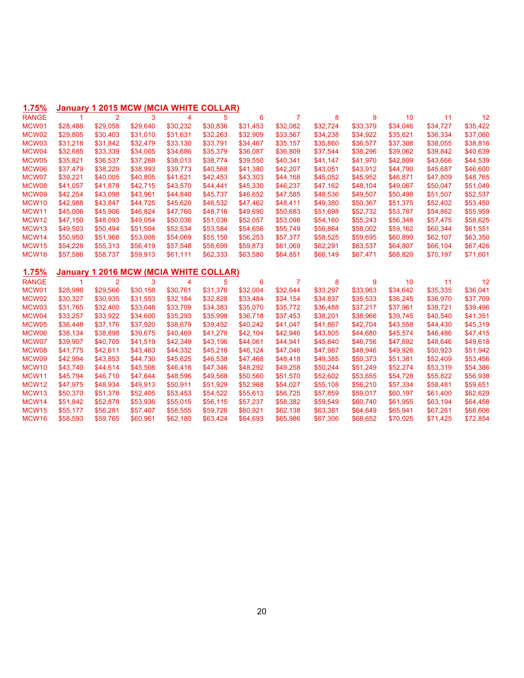# **1.75% January 1 2015 MCW (MCIA WHITE COLLAR)**

| <b>RANGE</b>               | $\blacktriangleleft$ | $\overline{2}$       | 3                              | 4                    | 5                    | 6                    | 7                    | 8                    | 9        | 10                   | 11                   | 12                   |
|----------------------------|----------------------|----------------------|--------------------------------|----------------------|----------------------|----------------------|----------------------|----------------------|----------|----------------------|----------------------|----------------------|
| MCW01                      | \$28,488             | \$29,058             | \$29,640                       | \$30,232             | \$30,836             | \$31,453             | \$32,082             | \$32,724             | \$33,379 | \$34,046             | \$34,727             | \$35,422             |
| MCW02                      | \$29,805             | \$30,403             | \$31,010                       | \$31,631             | \$32,263             | \$32,909             | \$33,567             | \$34,238             | \$34,922 | \$35,621             | \$36,334             | \$37,060             |
| MCW03                      | \$31,218             | \$31,842             | \$32,479                       | \$33,130             | \$33,791             | \$34,467             | \$35,157             | \$35,860             | \$36,577 | \$37,308             | \$38,055             | \$38,816             |
| MCW04                      | \$32,685             | \$33,339             | \$34,005                       | \$34,686             | \$35,379             | \$36,087             | \$36,809             | \$37,544             | \$38,296 | \$39,062             | \$39,842             | \$40,639             |
| MCW05                      | \$35,821             | \$36,537             | \$37,268                       | \$38,013             | \$38,774             | \$39,550             | \$40,341             | \$41,147             | \$41,970 | \$42,809             | \$43,666             | \$44,539             |
| MCW06                      | \$37,479             | \$38,229             | \$38,993                       | \$39,773             | \$40,568             | \$41,380             | \$42,207             | \$43,051             | \$43,912 | \$44,790             | \$45,687             | \$46,600             |
| MCW07                      | \$39,221             | \$40,005             | \$40,805                       | \$41,621             | \$42,453             | \$43,303             | \$44,168             | \$45,052             | \$45,952 | \$46,871             | \$47,809             | \$48,765             |
| MCW08                      | \$41,057             | \$41,878             | \$42,715                       | \$43,570             | \$44,441             | \$45,330             | \$46,237             | \$47,162             | \$48,104 | \$49,067             | \$50,047             | \$51,049             |
| MCW09                      | \$42,254             | \$43,098             | \$43,961                       | \$44,840             | \$45,737             | \$46,652             | \$47,585             | \$48,536             | \$49,507 | \$50,498             | \$51,507             | \$52,537             |
| MCW <sub>10</sub>          | \$42,988             | \$43,847             | \$44,725                       | \$45,620             | \$46,532             | \$47,462             | \$48,411             | \$49,380             | \$50,367 | \$51,375             | \$52,402             | \$53,450             |
| MCW11                      | \$45,006             | \$45,906             | \$46,824                       | \$47,760             | \$48,716             | \$49,690             | \$50,683             | \$51,698             | \$52,732 | \$53,787             | \$54,862             | \$55,959             |
| MCW <sub>12</sub>          | \$47,150             | \$48,093             | \$49,054                       | \$50,036             | \$51,036             | \$52,057             | \$53,098             | \$54,160             | \$55,243 | \$56,348             | \$57,475             | \$58,625             |
| MCW <sub>13</sub>          | \$49,503             | \$50,494             | \$51,504                       | \$52,534             | \$53,584             | \$54,656             | \$55,749             | \$56,864             | \$58,002 | \$59,162             | \$60,344             | \$61,551             |
| MCW14                      | \$50,950             | \$51,968             | \$53,008                       | \$54,069             | \$55,150             | \$56,253             | \$57,377             | \$58,525             | \$59,695 | \$60,890             | \$62,107             | \$63,350             |
| MCW <sub>15</sub>          | \$54,228             | \$55,313             | \$56,419                       | \$57,548             | \$58,699             | \$59,873             | \$61,069             | \$62,291             | \$63,537 | \$64,807             | \$66,104             | \$67,426             |
| MCW <sub>16</sub>          | \$57,586             | \$58,737             | \$59,913                       | \$61,111             | \$62,333             | \$63,580             | \$64,851             | \$66,149             | \$67,471 | \$68,820             | \$70,197             | \$71,601             |
|                            |                      |                      |                                |                      |                      |                      |                      |                      |          |                      |                      |                      |
| 1.75%                      | Januarv              |                      | 1 2016 MCW (MCIA WHITE COLLAR) |                      |                      |                      |                      |                      |          |                      |                      |                      |
|                            |                      |                      |                                |                      |                      |                      |                      |                      |          |                      |                      |                      |
| <b>RANGE</b>               | $\blacktriangleleft$ | $\overline{2}$       | 3                              | 4                    | 5                    | 6                    | 7                    | 8                    | 9        | 10                   | 11                   | 12                   |
| MCW01                      | \$28,986             | \$29,566             | \$30,158                       | \$30,761             | \$31,376             | \$32,004             | \$32,644             | \$33,297             | \$33,963 | \$34,642             | \$35,335             | \$36,041             |
| MCW02                      | \$30,327             | \$30,935             | \$31,553                       | \$32,184             | \$32,828             | \$33,484             | \$34,154             | \$34,837             | \$35,533 | \$36,245             | \$36,970             | \$37,709             |
| MCW03                      | \$31.765             | \$32,400             | \$33.048                       | \$33,709             | \$34,383             | \$35,070             | \$35,772             | \$36,488             | \$37,217 | \$37.961             | \$38.721             | \$39,496             |
| MCW04                      | \$33,257             | \$33,922             | \$34,600                       | \$35,293             | \$35,998             | \$36,718             | \$37,453             | \$38,201             | \$38,966 | \$39,745             | \$40,540             | \$41,351             |
| MCW05                      | \$36,448             | \$37,176             | \$37,920                       | \$38,679             | \$39,452             | \$40,242             | \$41,047             | \$41,867             | \$42,704 | \$43,558             | \$44,430             | \$45,319             |
| MCW06                      | \$38,134             | \$38,898             | \$39,675                       | \$40,469             | \$41,278             | \$42,104             | \$42,946             | \$43,805             | \$44,680 | \$45,574             | \$46,486             | \$47,415             |
| MCW07                      | \$39,907             | \$40,705             | \$41,519                       | \$42,349             | \$43,196             | \$44,061             | \$44,941             | \$45,840             | \$46,756 | \$47,692             | \$48,646             | \$49,618             |
| MCW08                      | \$41,775             | \$42,611             | \$43,463                       | \$44,332             | \$45,218             | \$46,124             | \$47,046             | \$47,987             | \$48,946 | \$49,926             | \$50,923             | \$51,942             |
| MCW09                      | \$42,994             | \$43,853             | \$44,730                       | \$45,625             | \$46,538             | \$47,468             | \$48,418             | \$49,385             | \$50,373 | \$51,381             | \$52,409             | \$53,456             |
| MCW <sub>10</sub>          | \$43,740             | \$44,614             | \$45,508                       | \$46,418             | \$47,346             | \$48,292             | \$49,258             | \$50,244             | \$51,249 | \$52,274             | \$53,319             | \$54,386             |
| MCW11                      | \$45,794             | \$46,710             | \$47,644                       | \$48,596             | \$49,568             | \$50,560             | \$51,570             | \$52,602             | \$53,655 | \$54,728             | \$55,822             | \$56,938             |
| MCW <sub>12</sub>          | \$47,975             | \$48,934             | \$49,913                       | \$50,911             | \$51,929             | \$52,968             | \$54,027             | \$55,108             | \$56,210 | \$57,334             | \$58,481             | \$59,651             |
| MCW <sub>13</sub>          | \$50,370             | \$51,378             | \$52,405                       | \$53,453             | \$54,522             | \$55,613             | \$56,725             | \$57,859             | \$59,017 | \$60,197             | \$61,400             | \$62,629             |
| MCW14                      | \$51,842             | \$52,878             | \$53,936                       | \$55,015             | \$56,115             | \$57,237             | \$58,382             | \$59,549             | \$60,740 | \$61,955             | \$63,194             | \$64,458             |
| MCW <sub>15</sub><br>MCW16 | \$55,177<br>\$58,593 | \$56,281<br>\$59,765 | \$57,407<br>\$60,961           | \$58,555<br>\$62,180 | \$59,726<br>\$63,424 | \$60,921<br>\$64,693 | \$62,138<br>\$65,986 | \$63,381<br>\$67,306 | \$64,649 | \$65,941<br>\$70,025 | \$67,261<br>\$71,425 | \$68,606<br>\$72,854 |